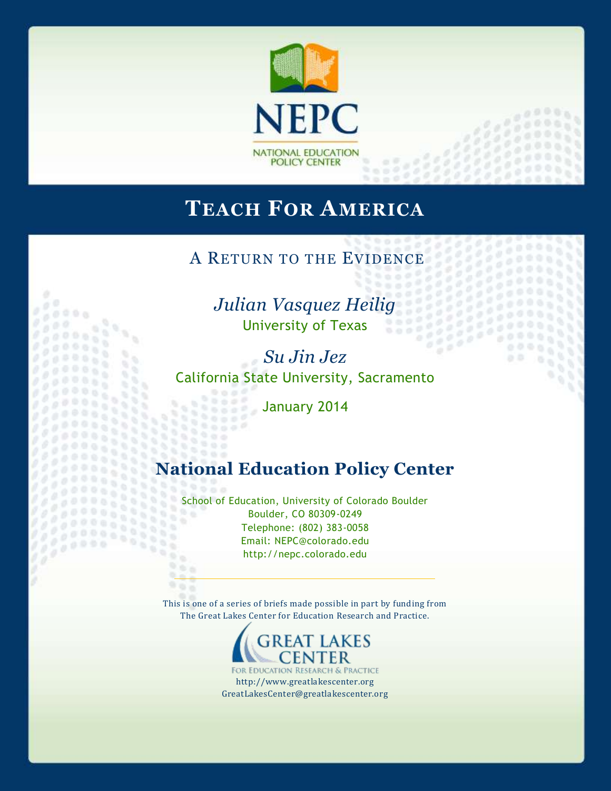

# **TEACH FOR AMERICA**

A RETURN TO THE EVIDENCE

*Julian Vasquez Heilig* University of Texas

o 

 $\alpha$ 

 $188$ 

 $\frac{1}{2}$ 33338

*Su Jin Jez* California State University, Sacramento

January 2014

 $0.0000$  $0.0000$ 

 $2.6$  $000$ 

# **National Education Policy Center**

School of Education, University of Colorado Boulder Boulder, CO 80309-0249 Telephone: (802) 383-0058 Email: NEPC@colorado.edu http://nepc.colorado.edu

This is one of a series of briefs made possible in part by funding from The Great Lakes Center for Education Research and Practice.



FOR EDUCATION RESEARCH & PRACTICE http://www.greatlakescenter.org GreatLakesCenter@greatlakescenter.org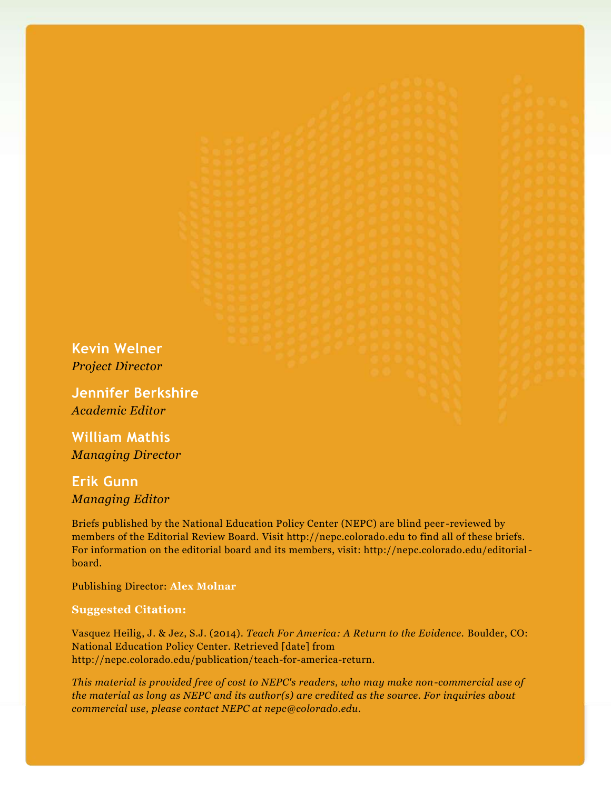**Kevin Welner** *Project Director*

**Jennifer Berkshire** *Academic Editor*

**William Mathis** *Managing Director*

**Erik Gunn** *Managing Editor*

Briefs published by the National Education Policy Center (NEPC) are blind peer -reviewed by members of the Editorial Review Board. Visit http://nepc.colorado.edu to find all of these briefs. For information on the editorial board and its members, visit: http://nepc.colorado.edu/editorialboard.

Publishing Director: **Alex Molnar**

#### **Suggested Citation:**

Vasquez Heilig, J. & Jez, S.J. (2014). *Teach For America: A Return to the Evidence.* Boulder, CO: National Education Policy Center. Retrieved [date] from http://nepc.colorado.edu/publication/teach-for-america-return.

*This material is provided free of cost to NEPC's readers, who may make non-commercial use of the material as long as NEPC and its author(s) are credited as the source. For inquiries about commercial use, please contact NEPC at nepc@colorado.edu.*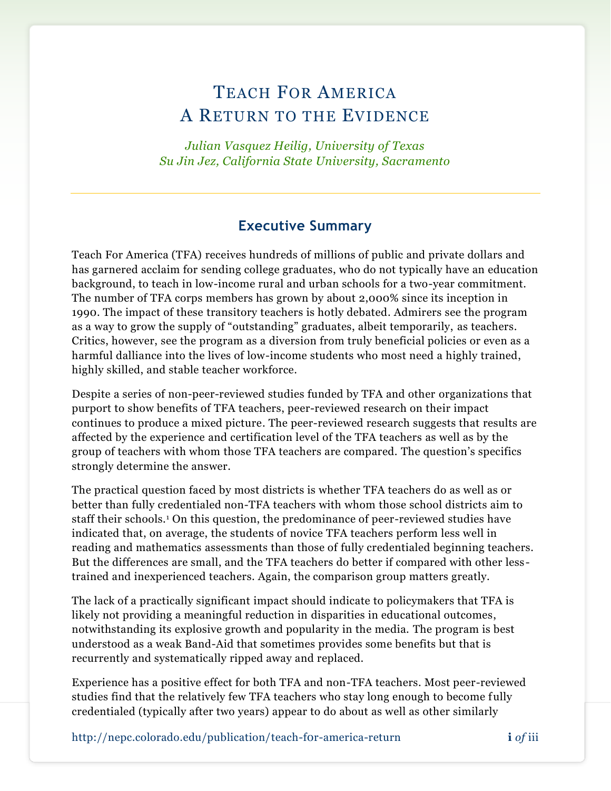# TEACH FOR AMERICA A RETURN TO THE EVIDENCE

*Julian Vasquez Heilig, University of Texas Su Jin Jez, California State University, Sacramento*

# **Executive Summary**

Teach For America (TFA) receives hundreds of millions of public and private dollars and has garnered acclaim for sending college graduates, who do not typically have an education background, to teach in low-income rural and urban schools for a two-year commitment. The number of TFA corps members has grown by about 2,000% since its inception in 1990. The impact of these transitory teachers is hotly debated. Admirers see the program as a way to grow the supply of "outstanding" graduates, albeit temporarily, as teachers. Critics, however, see the program as a diversion from truly beneficial policies or even as a harmful dalliance into the lives of low-income students who most need a highly trained, highly skilled, and stable teacher workforce.

Despite a series of non-peer-reviewed studies funded by TFA and other organizations that purport to show benefits of TFA teachers, peer-reviewed research on their impact continues to produce a mixed picture. The peer-reviewed research suggests that results are affected by the experience and certification level of the TFA teachers as well as by the group of teachers with whom those TFA teachers are compared. The question's specifics strongly determine the answer.

The practical question faced by most districts is whether TFA teachers do as well as or better than fully credentialed non-TFA teachers with whom those school districts aim to staff their schools.<sup>1</sup> On this question, the predominance of peer-reviewed studies have indicated that, on average, the students of novice TFA teachers perform less well in reading and mathematics assessments than those of fully credentialed beginning teachers. But the differences are small, and the TFA teachers do better if compared with other less trained and inexperienced teachers. Again, the comparison group matters greatly.

The lack of a practically significant impact should indicate to policymakers that TFA is likely not providing a meaningful reduction in disparities in educational outcomes, notwithstanding its explosive growth and popularity in the media. The program is best understood as a weak Band-Aid that sometimes provides some benefits but that is recurrently and systematically ripped away and replaced.

Experience has a positive effect for both TFA and non-TFA teachers. Most peer-reviewed studies find that the relatively few TFA teachers who stay long enough to become fully credentialed (typically after two years) appear to do about as well as other similarly

http://nepc.colorado.edu/publication/teach-f0r-america-return **i** *of* iii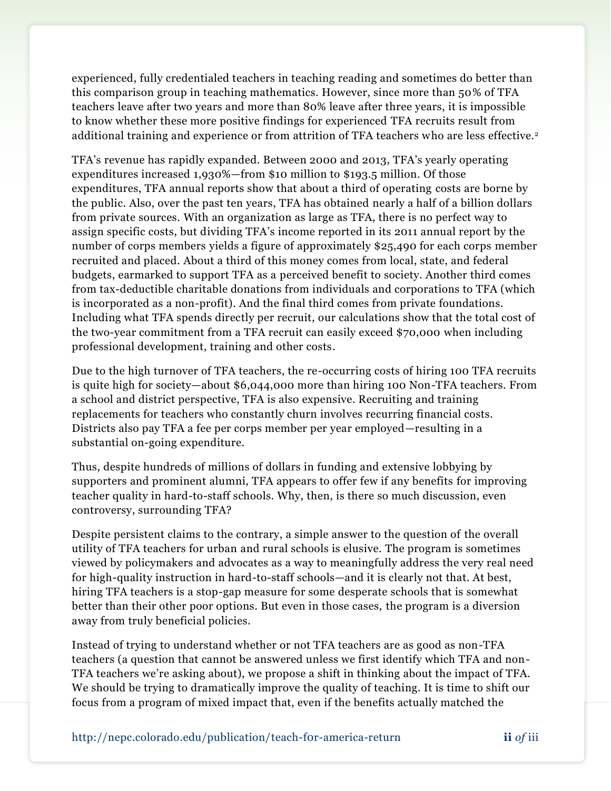experienced, fully credentialed teachers in teaching reading and sometimes do better than this comparison group in teaching mathematics. However, since more than 50% of TFA teachers leave after two years and more than 80% leave after three years, it is impossible to know whether these more positive findings for experienced TFA recruits result from additional training and experience or from attrition of TFA teachers who are less effective.<sup>2</sup>

TFA's revenue has rapidly expanded. Between 2000 and 2013, TFA's yearly operating expenditures increased 1,930%—from \$10 million to \$193.5 million. Of those expenditures, TFA annual reports show that about a third of operating costs are borne by the public. Also, over the past ten years, TFA has obtained nearly a half of a billion dollars from private sources. With an organization as large as TFA, there is no perfect way to assign specific costs, but dividing TFA's income reported in its 2011 annual report by the number of corps members yields a figure of approximately \$25,490 for each corps member recruited and placed. About a third of this money comes from local, state, and federal budgets, earmarked to support TFA as a perceived benefit to society. Another third comes from tax-deductible charitable donations from individuals and corporations to TFA (which is incorporated as a non-profit). And the final third comes from private foundations. Including what TFA spends directly per recruit, our calculations show that the total cost of the two-year commitment from a TFA recruit can easily exceed \$70,000 when including professional development, training and other costs.

Due to the high turnover of TFA teachers, the re-occurring costs of hiring 100 TFA recruits is quite high for society—about \$6,044,000 more than hiring 100 Non-TFA teachers. From a school and district perspective, TFA is also expensive. Recruiting and training replacements for teachers who constantly churn involves recurring financial costs. Districts also pay TFA a fee per corps member per year employed—resulting in a substantial on-going expenditure.

Thus, despite hundreds of millions of dollars in funding and extensive lobbying by supporters and prominent alumni, TFA appears to offer few if any benefits for improving teacher quality in hard-to-staff schools. Why, then, is there so much discussion, even controversy, surrounding TFA?

Despite persistent claims to the contrary, a simple answer to the question of the overall utility of TFA teachers for urban and rural schools is elusive. The program is sometimes viewed by policymakers and advocates as a way to meaningfully address the very real need for high-quality instruction in hard-to-staff schools—and it is clearly not that. At best, hiring TFA teachers is a stop-gap measure for some desperate schools that is somewhat better than their other poor options. But even in those cases, the program is a diversion away from truly beneficial policies.

Instead of trying to understand whether or not TFA teachers are as good as non-TFA teachers (a question that cannot be answered unless we first identify which TFA and non-TFA teachers we're asking about), we propose a shift in thinking about the impact of TFA. We should be trying to dramatically improve the quality of teaching. It is time to shift our focus from a program of mixed impact that, even if the benefits actually matched the

http://nepc.colorado.edu/publication/teach-f0r-america-return **ii** *of* iii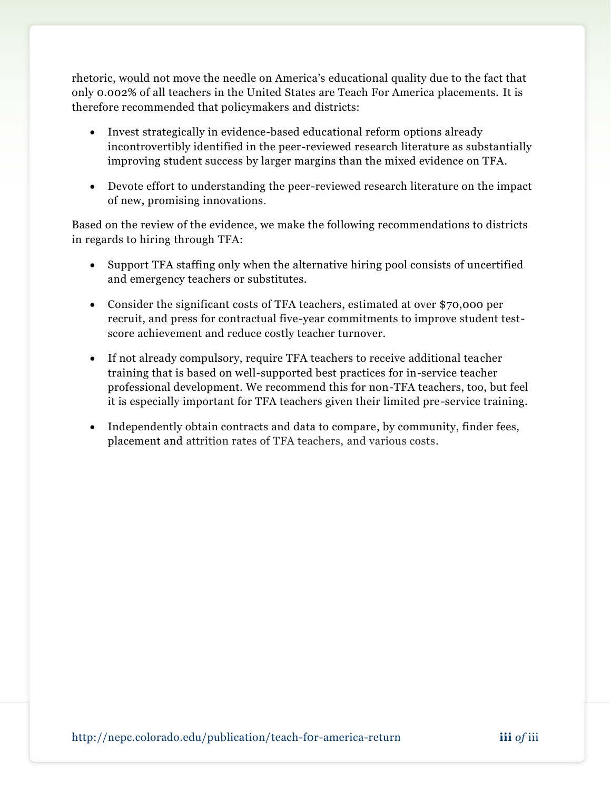rhetoric, would not move the needle on America's educational quality due to the fact that only 0.002% of all teachers in the United States are Teach For America placements. It is therefore recommended that policymakers and districts:

- Invest strategically in evidence-based educational reform options already incontrovertibly identified in the peer-reviewed research literature as substantially improving student success by larger margins than the mixed evidence on TFA.
- Devote effort to understanding the peer-reviewed research literature on the impact of new, promising innovations.

Based on the review of the evidence, we make the following recommendations to districts in regards to hiring through TFA:

- Support TFA staffing only when the alternative hiring pool consists of uncertified and emergency teachers or substitutes.
- Consider the significant costs of TFA teachers, estimated at over \$70,000 per recruit, and press for contractual five-year commitments to improve student testscore achievement and reduce costly teacher turnover.
- If not already compulsory, require TFA teachers to receive additional teacher training that is based on well-supported best practices for in-service teacher professional development. We recommend this for non-TFA teachers, too, but feel it is especially important for TFA teachers given their limited pre-service training.
- Independently obtain contracts and data to compare, by community, finder fees, placement and attrition rates of TFA teachers, and various costs.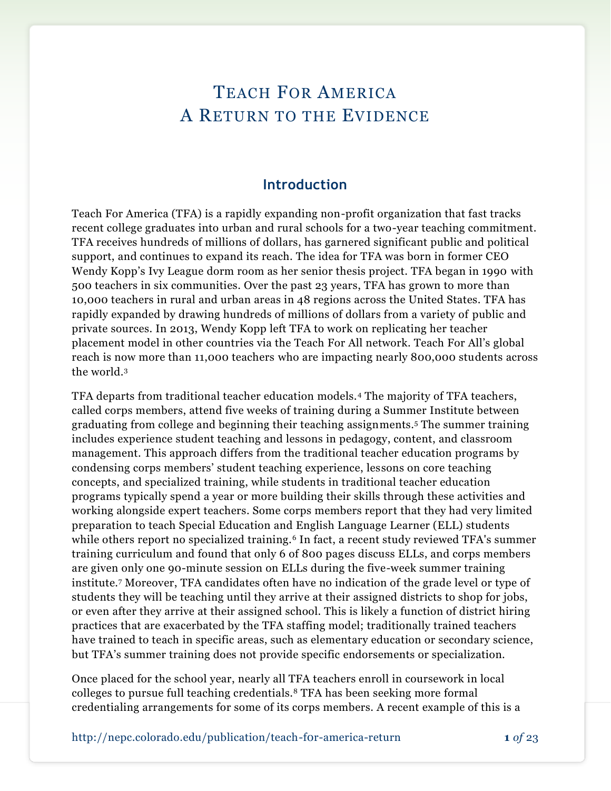# TEACH FOR AMERICA A RETURN TO THE EVIDENCE

## **Introduction**

Teach For America (TFA) is a rapidly expanding non-profit organization that fast tracks recent college graduates into urban and rural schools for a two-year teaching commitment. TFA receives hundreds of millions of dollars, has garnered significant public and political support, and continues to expand its reach. The idea for TFA was born in former CEO Wendy Kopp's Ivy League dorm room as her senior thesis project. TFA began in 1990 with 500 teachers in six communities. Over the past 23 years, TFA has grown to more than 10,000 teachers in rural and urban areas in 48 regions across the United States. TFA has rapidly expanded by drawing hundreds of millions of dollars from a variety of public and private sources. In 2013, Wendy Kopp left TFA to work on replicating her teacher placement model in other countries via the Teach For All network. Teach For All's global reach is now more than 11,000 teachers who are impacting nearly 800,000 students across the world.<sup>3</sup>

TFA departs from traditional teacher education models.<sup>4</sup> The majority of TFA teachers, called corps members, attend five weeks of training during a Summer Institute between graduating from college and beginning their teaching assignments.<sup>5</sup> The summer training includes experience student teaching and lessons in pedagogy, content, and classroom management. This approach differs from the traditional teacher education programs by condensing corps members' student teaching experience, lessons on core teaching concepts, and specialized training, while students in traditional teacher education programs typically spend a year or more building their skills through these activities and working alongside expert teachers. Some corps members report that they had very limited preparation to teach Special Education and English Language Learner (ELL) students while others report no specialized training.<sup>6</sup> In fact, a recent study reviewed TFA's summer training curriculum and found that only 6 of 800 pages discuss ELLs, and corps members are given only one 90-minute session on ELLs during the five-week summer training institute.<sup>7</sup> Moreover, TFA candidates often have no indication of the grade level or type of students they will be teaching until they arrive at their assigned districts to shop for jobs, or even after they arrive at their assigned school. This is likely a function of district hiring practices that are exacerbated by the TFA staffing model; traditionally trained teachers have trained to teach in specific areas, such as elementary education or secondary science, but TFA's summer training does not provide specific endorsements or specialization.

Once placed for the school year, nearly all TFA teachers enroll in coursework in local colleges to pursue full teaching credentials.<sup>8</sup> TFA has been seeking more formal credentialing arrangements for some of its corps members. A recent example of this is a

http://nepc.colorado.edu/publication/teach-f0r-america-return **1** *of* 23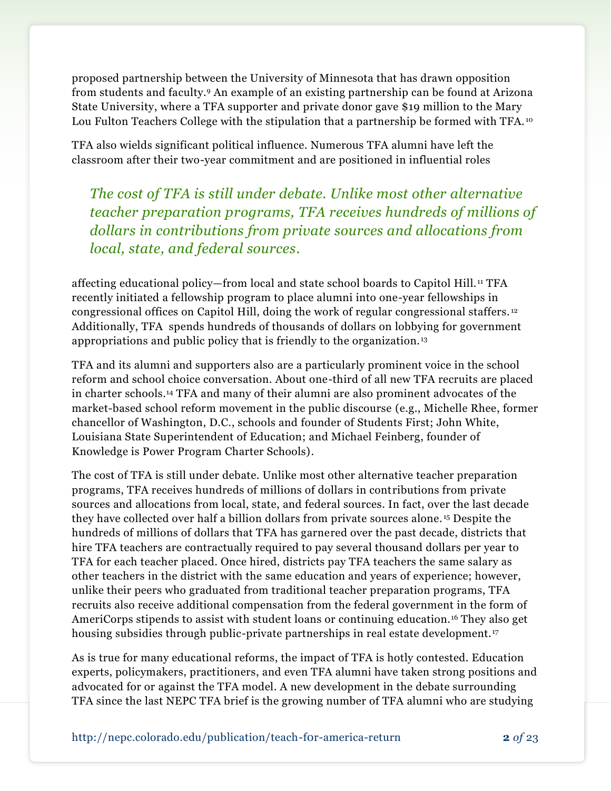proposed partnership between the University of Minnesota that has drawn opposition from students and faculty.<sup>9</sup> An example of an existing partnership can be found at Arizona State University, where a TFA supporter and private donor gave \$19 million to the Mary Lou Fulton Teachers College with the stipulation that a partnership be formed with TFA.<sup>10</sup>

TFA also wields significant political influence. Numerous TFA alumni have left the classroom after their two-year commitment and are positioned in influential roles

*The cost of TFA is still under debate. Unlike most other alternative teacher preparation programs, TFA receives hundreds of millions of dollars in contributions from private sources and allocations from local, state, and federal sources.*

affecting educational policy—from local and state school boards to Capitol Hill. <sup>11</sup> TFA recently initiated a fellowship program to place alumni into one-year fellowships in congressional offices on Capitol Hill, doing the work of regular congressional staffers. <sup>12</sup> Additionally, TFA spends hundreds of thousands of dollars on lobbying for government appropriations and public policy that is friendly to the organization. <sup>13</sup>

TFA and its alumni and supporters also are a particularly prominent voice in the school reform and school choice conversation. About one-third of all new TFA recruits are placed in charter schools.<sup>14</sup> TFA and many of their alumni are also prominent advocates of the market-based school reform movement in the public discourse (e.g., Michelle Rhee, former chancellor of Washington, D.C., schools and founder of Students First; John White, Louisiana State Superintendent of Education; and Michael Feinberg, founder of Knowledge is Power Program Charter Schools).

The cost of TFA is still under debate. Unlike most other alternative teacher preparation programs, TFA receives hundreds of millions of dollars in contributions from private sources and allocations from local, state, and federal sources. In fact, over the last decade they have collected over half a billion dollars from private sources alone. <sup>15</sup> Despite the hundreds of millions of dollars that TFA has garnered over the past decade, districts that hire TFA teachers are contractually required to pay several thousand dollars per year to TFA for each teacher placed. Once hired, districts pay TFA teachers the same salary as other teachers in the district with the same education and years of experience; however, unlike their peers who graduated from traditional teacher preparation programs, TFA recruits also receive additional compensation from the federal government in the form of AmeriCorps stipends to assist with student loans or continuing education.<sup>16</sup> They also get housing subsidies through public-private partnerships in real estate development.<sup>17</sup>

As is true for many educational reforms, the impact of TFA is hotly contested. Education experts, policymakers, practitioners, and even TFA alumni have taken strong positions and advocated for or against the TFA model. A new development in the debate surrounding TFA since the last NEPC TFA brief is the growing number of TFA alumni who are studying

http://nepc.colorado.edu/publication/teach-f0r-america-return **2** *of* 23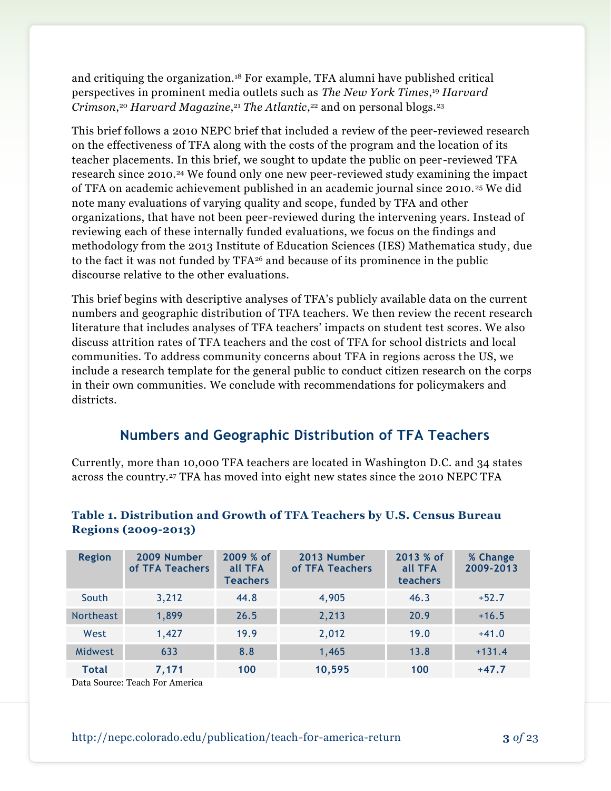and critiquing the organization.<sup>18</sup> For example, TFA alumni have published critical perspectives in prominent media outlets such as *The New York Times*, <sup>19</sup> *Harvard Crimson*, <sup>20</sup> *Harvard Magazine*, <sup>21</sup> *The Atlantic*, <sup>22</sup> and on personal blogs.<sup>23</sup>

This brief follows a 2010 NEPC brief that included a review of the peer-reviewed research on the effectiveness of TFA along with the costs of the program and the location of its teacher placements. In this brief, we sought to update the public on peer -reviewed TFA research since 2010.<sup>24</sup> We found only one new peer-reviewed study examining the impact of TFA on academic achievement published in an academic journal since 2010. <sup>25</sup> We did note many evaluations of varying quality and scope, funded by TFA and other organizations, that have not been peer-reviewed during the intervening years. Instead of reviewing each of these internally funded evaluations, we focus on the findings and methodology from the 2013 Institute of Education Sciences (IES) Mathematica study, due to the fact it was not funded by TFA<sup>26</sup> and because of its prominence in the public discourse relative to the other evaluations.

This brief begins with descriptive analyses of TFA's publicly available data on the current numbers and geographic distribution of TFA teachers. We then review the recent research literature that includes analyses of TFA teachers' impacts on student test scores. We also discuss attrition rates of TFA teachers and the cost of TFA for school districts and local communities. To address community concerns about TFA in regions across the US, we include a research template for the general public to conduct citizen research on the corps in their own communities. We conclude with recommendations for policymakers and districts.

# **Numbers and Geographic Distribution of TFA Teachers**

Currently, more than 10,000 TFA teachers are located in Washington D.C. and 34 states across the country.<sup>27</sup> TFA has moved into eight new states since the 2010 NEPC TFA

| <b>Region</b>    | 2009 Number<br>of TFA Teachers | 2009 % of<br>all TFA<br><b>Teachers</b> | 2013 Number<br>of TFA Teachers | 2013 % of<br>all TFA<br>teachers | % Change<br>2009-2013 |
|------------------|--------------------------------|-----------------------------------------|--------------------------------|----------------------------------|-----------------------|
| South            | 3,212                          | 44.8                                    | 4,905                          | 46.3                             | $+52.7$               |
| <b>Northeast</b> | 1,899                          | 26.5                                    | 2,213                          | 20.9                             | $+16.5$               |
| West             | 1,427                          | 19.9                                    | 2,012                          | 19.0                             | $+41.0$               |
| Midwest          | 633                            | 8.8                                     | 1,465                          | 13.8                             | $+131.4$              |
| <b>Total</b>     | 7,171                          | 100                                     | 10,595                         | 100                              | $+47.7$               |

#### **Table 1. Distribution and Growth of TFA Teachers by U.S. Census Bureau Regions (2009-2013)**

Data Source: Teach For America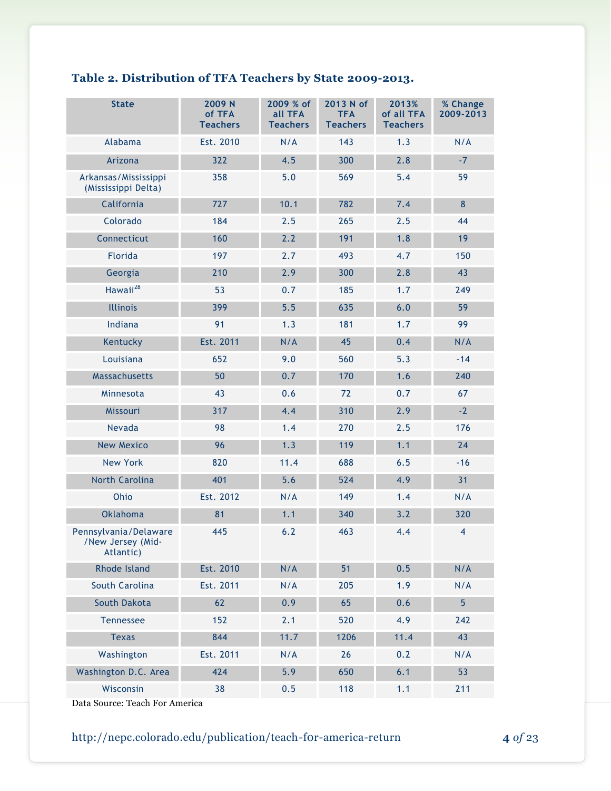# **Table 2. Distribution of TFA Teachers by State 2009-2013.**

| <b>State</b>                                            | 2009 N<br>of TFA<br><b>Teachers</b> | 2009 % of<br>all TFA<br><b>Teachers</b> | 2013 N of<br><b>TFA</b><br><b>Teachers</b> | 2013%<br>of all TFA<br><b>Teachers</b> | % Change<br>2009-2013 |
|---------------------------------------------------------|-------------------------------------|-----------------------------------------|--------------------------------------------|----------------------------------------|-----------------------|
| Alabama                                                 | Est. 2010                           | N/A                                     | 143                                        | 1.3                                    | N/A                   |
| Arizona                                                 | 322                                 | 4.5                                     | 300                                        | 2.8                                    | $-7$                  |
| Arkansas/Mississippi<br>(Mississippi Delta)             | 358                                 | 5.0                                     | 569                                        | 5.4                                    | 59                    |
| California                                              | 727                                 | 10.1                                    | 782                                        | 7.4                                    | $\bf 8$               |
| Colorado                                                | 184                                 | 2.5                                     | 265                                        | 2.5                                    | 44                    |
| Connecticut                                             | 160                                 | 2.2                                     | 191                                        | 1.8                                    | 19                    |
| <b>Florida</b>                                          | 197                                 | 2.7                                     | 493                                        | 4.7                                    | 150                   |
| Georgia                                                 | 210                                 | 2.9                                     | 300                                        | 2.8                                    | 43                    |
| Hawaii <sup>28</sup>                                    | 53                                  | 0.7                                     | 185                                        | 1.7                                    | 249                   |
| <b>Illinois</b>                                         | 399                                 | 5.5                                     | 635                                        | 6.0                                    | 59                    |
| Indiana                                                 | 91                                  | 1.3                                     | 181                                        | 1.7                                    | 99                    |
| Kentucky                                                | Est. 2011                           | N/A                                     | 45                                         | 0.4                                    | N/A                   |
| Louisiana                                               | 652                                 | 9.0                                     | 560                                        | 5.3                                    | $-14$                 |
| Massachusetts                                           | 50                                  | 0.7                                     | 170                                        | 1.6                                    | 240                   |
| Minnesota                                               | 43                                  | 0.6                                     | 72                                         | 0.7                                    | 67                    |
| Missouri                                                | 317                                 | 4.4                                     | 310                                        | 2.9                                    | $-2$                  |
| Nevada                                                  | 98                                  | 1.4                                     | 270                                        | 2.5                                    | 176                   |
| <b>New Mexico</b>                                       | 96                                  | 1.3                                     | 119                                        | 1.1                                    | 24                    |
| <b>New York</b>                                         | 820                                 | 11.4                                    | 688                                        | 6.5                                    | $-16$                 |
| <b>North Carolina</b>                                   | 401                                 | 5.6                                     | 524                                        | 4.9                                    | 31                    |
| Ohio                                                    | Est. 2012                           | N/A                                     | 149                                        | 1.4                                    | N/A                   |
| <b>Oklahoma</b>                                         | 81                                  | 1.1                                     | 340                                        | 3.2                                    | 320                   |
| Pennsylvania/Delaware<br>/New Jersey (Mid-<br>Atlantic) | 445                                 | 6.2                                     | 463                                        | 4.4                                    | $\overline{4}$        |
| Rhode Island                                            | Est. 2010                           | N/A                                     | 51                                         | 0.5                                    | N/A                   |
| South Carolina                                          | Est. 2011                           | N/A                                     | 205                                        | 1.9                                    | N/A                   |
| South Dakota                                            | 62                                  | 0.9                                     | 65                                         | 0.6                                    | $\overline{5}$        |
| Tennessee                                               | 152                                 | 2.1                                     | 520                                        | 4.9                                    | 242                   |
| <b>Texas</b>                                            | 844                                 | 11.7                                    | 1206                                       | 11.4                                   | 43                    |
| Washington                                              | Est. 2011                           | N/A                                     | 26                                         | 0.2                                    | N/A                   |
| Washington D.C. Area                                    | 424                                 | 5.9                                     | 650                                        | 6.1                                    | 53                    |
| Wisconsin                                               | 38                                  | 0.5                                     | 118                                        | 1.1                                    | 211                   |

Data Source: Teach For America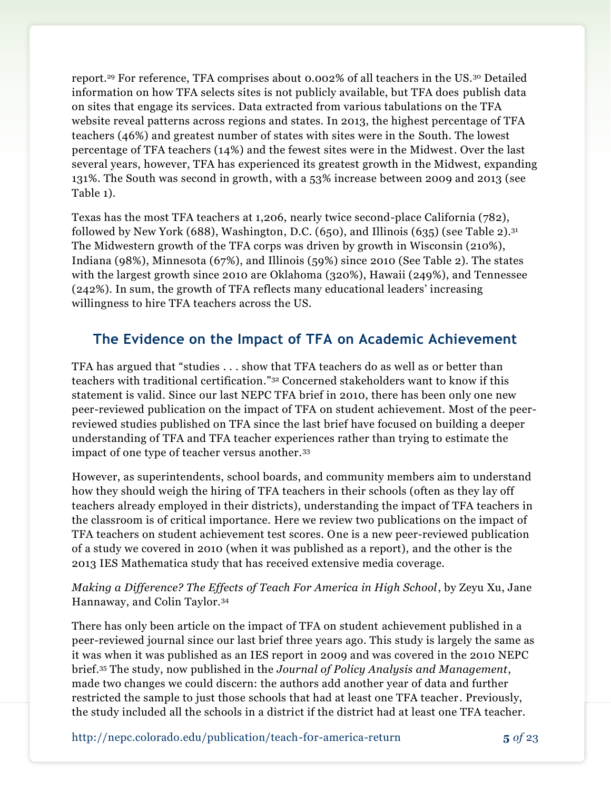report.<sup>29</sup> For reference, TFA comprises about 0.002% of all teachers in the US.<sup>30</sup> Detailed information on how TFA selects sites is not publicly available, but TFA does publish data on sites that engage its services. Data extracted from various tabulations on the TFA website reveal patterns across regions and states. In 2013, the highest percentage of TFA teachers (46%) and greatest number of states with sites were in the South. The lowest percentage of TFA teachers (14%) and the fewest sites were in the Midwest. Over the last several years, however, TFA has experienced its greatest growth in the Midwest, expanding 131%. The South was second in growth, with a 53% increase between 2009 and 2013 (see Table 1).

Texas has the most TFA teachers at 1,206, nearly twice second-place California (782), followed by New York (688), Washington, D.C. (650), and Illinois (635) (see Table 2).<sup>31</sup> The Midwestern growth of the TFA corps was driven by growth in Wisconsin (210%), Indiana (98%), Minnesota (67%), and Illinois (59%) since 2010 (See Table 2). The states with the largest growth since 2010 are Oklahoma (320%), Hawaii (249%), and Tennessee (242%). In sum, the growth of TFA reflects many educational leaders' increasing willingness to hire TFA teachers across the US.

# **The Evidence on the Impact of TFA on Academic Achievement**

TFA has argued that "studies . . . show that TFA teachers do as well as or better than teachers with traditional certification." <sup>32</sup> Concerned stakeholders want to know if this statement is valid. Since our last NEPC TFA brief in 2010, there has been only one new peer-reviewed publication on the impact of TFA on student achievement. Most of the peerreviewed studies published on TFA since the last brief have focused on building a deeper understanding of TFA and TFA teacher experiences rather than trying to estimate the impact of one type of teacher versus another.<sup>33</sup>

However, as superintendents, school boards, and community members aim to understand how they should weigh the hiring of TFA teachers in their schools (often as they lay off teachers already employed in their districts), understanding the impact of TFA teachers in the classroom is of critical importance. Here we review two publications on the impact of TFA teachers on student achievement test scores. One is a new peer-reviewed publication of a study we covered in 2010 (when it was published as a report), and the other is the 2013 IES Mathematica study that has received extensive media coverage.

### *Making a Difference? The Effects of Teach For America in High School*, by Zeyu Xu, Jane Hannaway, and Colin Taylor.<sup>34</sup>

There has only been article on the impact of TFA on student achievement published in a peer-reviewed journal since our last brief three years ago. This study is largely the same as it was when it was published as an IES report in 2009 and was covered in the 2010 NEPC brief. <sup>35</sup> The study, now published in the *Journal of Policy Analysis and Management*, made two changes we could discern: the authors add another year of data and further restricted the sample to just those schools that had at least one TFA teacher. Previously, the study included all the schools in a district if the district had at least one TFA teacher.

http://nepc.colorado.edu/publication/teach-f0r-america-return **5** *of* 23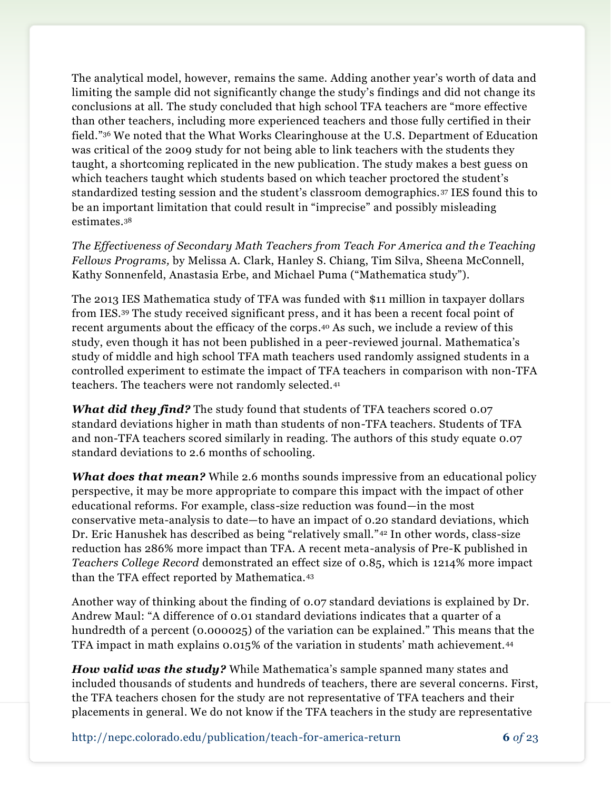The analytical model, however, remains the same. Adding another year's worth of data and limiting the sample did not significantly change the study's findings and did not change its conclusions at all. The study concluded that high school TFA teachers are "more effective than other teachers, including more experienced teachers and those fully certified in their field."<sup>36</sup> We noted that the What Works Clearinghouse at the U.S. Department of Education was critical of the 2009 study for not being able to link teachers with the students they taught, a shortcoming replicated in the new publication. The study makes a best guess on which teachers taught which students based on which teacher proctored the student's standardized testing session and the student's classroom demographics. <sup>37</sup> IES found this to be an important limitation that could result in "imprecise" and possibly misleading estimates.<sup>38</sup>

*The Effectiveness of Secondary Math Teachers from Teach For America and the Teaching Fellows Programs,* by Melissa A. Clark, Hanley S. Chiang, Tim Silva, Sheena McConnell, Kathy Sonnenfeld, Anastasia Erbe, and Michael Puma ("Mathematica study").

The 2013 IES Mathematica study of TFA was funded with \$11 million in taxpayer dollars from IES.<sup>39</sup> The study received significant press, and it has been a recent focal point of recent arguments about the efficacy of the corps. <sup>40</sup> As such, we include a review of this study, even though it has not been published in a peer-reviewed journal. Mathematica's study of middle and high school TFA math teachers used randomly assigned students in a controlled experiment to estimate the impact of TFA teachers in comparison with non-TFA teachers. The teachers were not randomly selected.<sup>41</sup>

*What did they find?* The study found that students of TFA teachers scored 0.07 standard deviations higher in math than students of non-TFA teachers. Students of TFA and non-TFA teachers scored similarly in reading. The authors of this study equate 0.07 standard deviations to 2.6 months of schooling.

*What does that mean?* While 2.6 months sounds impressive from an educational policy perspective, it may be more appropriate to compare this impact with the impact of other educational reforms. For example, class-size reduction was found—in the most conservative meta-analysis to date—to have an impact of 0.20 standard deviations, which Dr. Eric Hanushek has described as being "relatively small."<sup>42</sup> In other words, class-size reduction has 286% more impact than TFA. A recent meta-analysis of Pre-K published in *Teachers College Record* demonstrated an effect size of 0.85, which is 1214% more impact than the TFA effect reported by Mathematica.<sup>43</sup>

Another way of thinking about the finding of 0.07 standard deviations is explained by Dr. Andrew Maul: "A difference of 0.01 standard deviations indicates that a quarter of a hundredth of a percent (0.000025) of the variation can be explained." This means that the TFA impact in math explains 0.015% of the variation in students' math achievement.<sup>44</sup>

*How valid was the study?* While Mathematica's sample spanned many states and included thousands of students and hundreds of teachers, there are several concerns. First, the TFA teachers chosen for the study are not representative of TFA teachers and their placements in general. We do not know if the TFA teachers in the study are representative

http://nepc.colorado.edu/publication/teach-f0r-america-return **6** *of* 23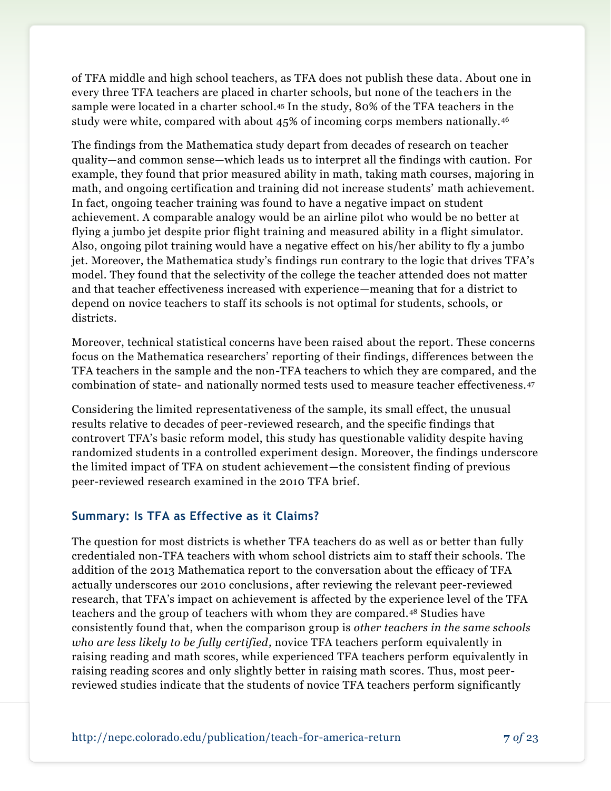of TFA middle and high school teachers, as TFA does not publish these data. About one in every three TFA teachers are placed in charter schools, but none of the teachers in the sample were located in a charter school. <sup>45</sup> In the study, 80% of the TFA teachers in the study were white, compared with about 45% of incoming corps members nationally.<sup>46</sup>

The findings from the Mathematica study depart from decades of research on teacher quality—and common sense—which leads us to interpret all the findings with caution. For example, they found that prior measured ability in math, taking math courses, majoring in math, and ongoing certification and training did not increase students' math achievement. In fact, ongoing teacher training was found to have a negative impact on student achievement. A comparable analogy would be an airline pilot who would be no better at flying a jumbo jet despite prior flight training and measured ability in a flight simulator. Also, ongoing pilot training would have a negative effect on his/her ability to fly a jumbo jet. Moreover, the Mathematica study's findings run contrary to the logic that drives TFA's model. They found that the selectivity of the college the teacher attended does not matter and that teacher effectiveness increased with experience—meaning that for a district to depend on novice teachers to staff its schools is not optimal for students, schools, or districts.

Moreover, technical statistical concerns have been raised about the report. These concerns focus on the Mathematica researchers' reporting of their findings, differences between the TFA teachers in the sample and the non-TFA teachers to which they are compared, and the combination of state- and nationally normed tests used to measure teacher effectiveness.<sup>47</sup>

Considering the limited representativeness of the sample, its small effect, the unusual results relative to decades of peer-reviewed research, and the specific findings that controvert TFA's basic reform model, this study has questionable validity despite having randomized students in a controlled experiment design. Moreover, the findings underscore the limited impact of TFA on student achievement—the consistent finding of previous peer-reviewed research examined in the 2010 TFA brief.

## **Summary: Is TFA as Effective as it Claims?**

The question for most districts is whether TFA teachers do as well as or better than fully credentialed non-TFA teachers with whom school districts aim to staff their schools. The addition of the 2013 Mathematica report to the conversation about the efficacy of TFA actually underscores our 2010 conclusions, after reviewing the relevant peer-reviewed research, that TFA's impact on achievement is affected by the experience level of the TFA teachers and the group of teachers with whom they are compared.<sup>48</sup> Studies have consistently found that, when the comparison group is *other teachers in the same schools who are less likely to be fully certified,* novice TFA teachers perform equivalently in raising reading and math scores, while experienced TFA teachers perform equivalently in raising reading scores and only slightly better in raising math scores. Thus, most peerreviewed studies indicate that the students of novice TFA teachers perform significantly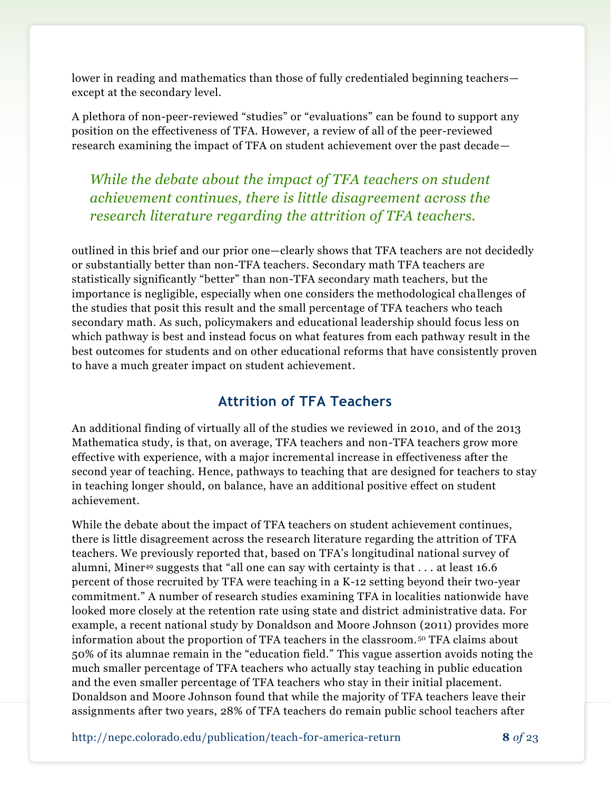lower in reading and mathematics than those of fully credentialed beginning teachers except at the secondary level.

A plethora of non-peer-reviewed "studies" or "evaluations" can be found to support any position on the effectiveness of TFA. However, a review of all of the peer-reviewed research examining the impact of TFA on student achievement over the past decade—

*While the debate about the impact of TFA teachers on student achievement continues, there is little disagreement across the research literature regarding the attrition of TFA teachers.*

outlined in this brief and our prior one—clearly shows that TFA teachers are not decidedly or substantially better than non-TFA teachers. Secondary math TFA teachers are statistically significantly "better" than non-TFA secondary math teachers, but the importance is negligible, especially when one considers the methodological challenges of the studies that posit this result and the small percentage of TFA teachers who teach secondary math. As such, policymakers and educational leadership should focus less on which pathway is best and instead focus on what features from each pathway result in the best outcomes for students and on other educational reforms that have consistently proven to have a much greater impact on student achievement.

# **Attrition of TFA Teachers**

An additional finding of virtually all of the studies we reviewed in 2010, and of the 2013 Mathematica study, is that, on average, TFA teachers and non-TFA teachers grow more effective with experience, with a major incremental increase in effectiveness after the second year of teaching. Hence, pathways to teaching that are designed for teachers to stay in teaching longer should, on balance, have an additional positive effect on student achievement.

While the debate about the impact of TFA teachers on student achievement continues, there is little disagreement across the research literature regarding the attrition of TFA teachers. We previously reported that, based on TFA's longitudinal national survey of alumni, Miner<sup>49</sup> suggests that "all one can say with certainty is that  $\dots$  at least 16.6 percent of those recruited by TFA were teaching in a K-12 setting beyond their two-year commitment." A number of research studies examining TFA in localities nationwide have looked more closely at the retention rate using state and district administrative data. For example, a recent national study by Donaldson and Moore Johnson (2011) provides more information about the proportion of TFA teachers in the classroom. <sup>50</sup> TFA claims about 50% of its alumnae remain in the "education field." This vague assertion avoids noting the much smaller percentage of TFA teachers who actually stay teaching in public education and the even smaller percentage of TFA teachers who stay in their initial placement. Donaldson and Moore Johnson found that while the majority of TFA teachers leave their assignments after two years, 28% of TFA teachers do remain public school teachers after

http://nepc.colorado.edu/publication/teach-f0r-america-return **8** *of* 23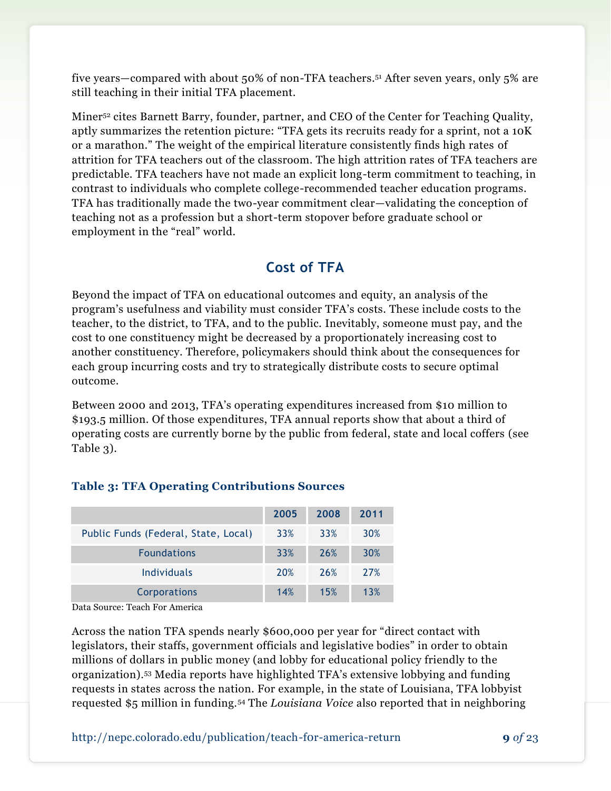five years—compared with about 50% of non-TFA teachers. <sup>51</sup> After seven years, only 5% are still teaching in their initial TFA placement.

Miner<sup>52</sup> cites Barnett Barry, founder, partner, and CEO of the Center for Teaching Quality, aptly summarizes the retention picture: "TFA gets its recruits ready for a sprint, not a 10K or a marathon." The weight of the empirical literature consistently finds high rates of attrition for TFA teachers out of the classroom. The high attrition rates of TFA teachers are predictable. TFA teachers have not made an explicit long-term commitment to teaching, in contrast to individuals who complete college-recommended teacher education programs. TFA has traditionally made the two-year commitment clear—validating the conception of teaching not as a profession but a short-term stopover before graduate school or employment in the "real" world.

# **Cost of TFA**

Beyond the impact of TFA on educational outcomes and equity, an analysis of the program's usefulness and viability must consider TFA's costs. These include costs to the teacher, to the district, to TFA, and to the public. Inevitably, someone must pay, and the cost to one constituency might be decreased by a proportionately increasing cost to another constituency. Therefore, policymakers should think about the consequences for each group incurring costs and try to strategically distribute costs to secure optimal outcome.

Between 2000 and 2013, TFA's operating expenditures increased from \$10 million to \$193.5 million. Of those expenditures, TFA annual reports show that about a third of operating costs are currently borne by the public from federal, state and local coffers (see Table 3).

|                                      | 2005       | 2008       | 2011       |
|--------------------------------------|------------|------------|------------|
| Public Funds (Federal, State, Local) | 33%        | 33%        | <b>30%</b> |
| <b>Foundations</b>                   | 33%        | <b>26%</b> | <b>30%</b> |
| <b>Individuals</b>                   | <b>20%</b> | <b>26%</b> | 27%        |
| Corporations                         | 14%        | 15%        | 13%        |

## **Table 3: TFA Operating Contributions Sources**

Data Source: Teach For America

Across the nation TFA spends nearly \$600,000 per year for "direct contact with legislators, their staffs, government officials and legislative bodies" in order to obtain millions of dollars in public money (and lobby for educational policy friendly to the organization).<sup>53</sup> Media reports have highlighted TFA's extensive lobbying and funding requests in states across the nation. For example, in the state of Louisiana, TFA lobbyist requested \$5 million in funding.<sup>54</sup> The *Louisiana Voice* also reported that in neighboring

http://nepc.colorado.edu/publication/teach-f0r-america-return **9** *of* 23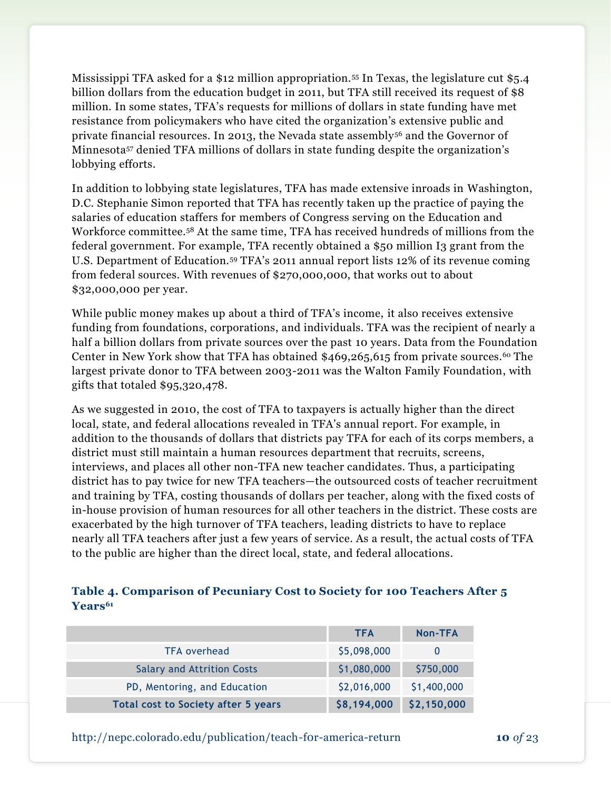Mississippi TFA asked for a \$12 million appropriation.<sup>55</sup> In Texas, the legislature cut \$5.4 billion dollars from the education budget in 2011, but TFA still received its request of \$8 million. In some states, TFA's requests for millions of dollars in state funding have met resistance from policymakers who have cited the organization's extensive public and private financial resources. In 2013, the Nevada state assembly<sup>56</sup> and the Governor of Minnesota<sup>57</sup> denied TFA millions of dollars in state funding despite the organization's lobbying efforts.

In addition to lobbying state legislatures, TFA has made extensive inroads in Washington, D.C. Stephanie Simon reported that TFA has recently taken up the practice of paying the salaries of education staffers for members of Congress serving on the Education and Workforce committee.<sup>58</sup> At the same time, TFA has received hundreds of millions from the federal government. For example, TFA recently obtained a \$50 million I3 grant from the U.S. Department of Education.<sup>59</sup> TFA's 2011 annual report lists 12% of its revenue coming from federal sources. With revenues of \$270,000,000, that works out to about \$32,000,000 per year.

While public money makes up about a third of TFA's income, it also receives extensive funding from foundations, corporations, and individuals. TFA was the recipient of nearly a half a billion dollars from private sources over the past 10 years. Data from the Foundation Center in New York show that TFA has obtained \$469,265,615 from private sources.<sup>60</sup> The largest private donor to TFA between 2003-2011 was the Walton Family Foundation, with gifts that totaled \$95,320,478.

As we suggested in 2010, the cost of TFA to taxpayers is actually higher than the direct local, state, and federal allocations revealed in TFA's annual report. For example, in addition to the thousands of dollars that districts pay TFA for each of its corps members, a district must still maintain a human resources department that recruits, screens, interviews, and places all other non-TFA new teacher candidates. Thus, a participating district has to pay twice for new TFA teachers—the outsourced costs of teacher recruitment and training by TFA, costing thousands of dollars per teacher, along with the fixed costs of in-house provision of human resources for all other teachers in the district. These costs are exacerbated by the high turnover of TFA teachers, leading districts to have to replace nearly all TFA teachers after just a few years of service. As a result, the actual costs of TFA to the public are higher than the direct local, state, and federal allocations.

#### **Table 4. Comparison of Pecuniary Cost to Society for 100 Teachers After 5 Years<sup>61</sup>**

|                                            | <b>TFA</b>  | Non-TFA     |
|--------------------------------------------|-------------|-------------|
| <b>TFA overhead</b>                        | \$5,098,000 |             |
| <b>Salary and Attrition Costs</b>          | \$1,080,000 | \$750,000   |
| PD, Mentoring, and Education               | \$2,016,000 | \$1,400,000 |
| <b>Total cost to Society after 5 years</b> | \$8,194,000 | \$2,150,000 |

http://nepc.colorado.edu/publication/teach-f0r-america-return **10** *of* 23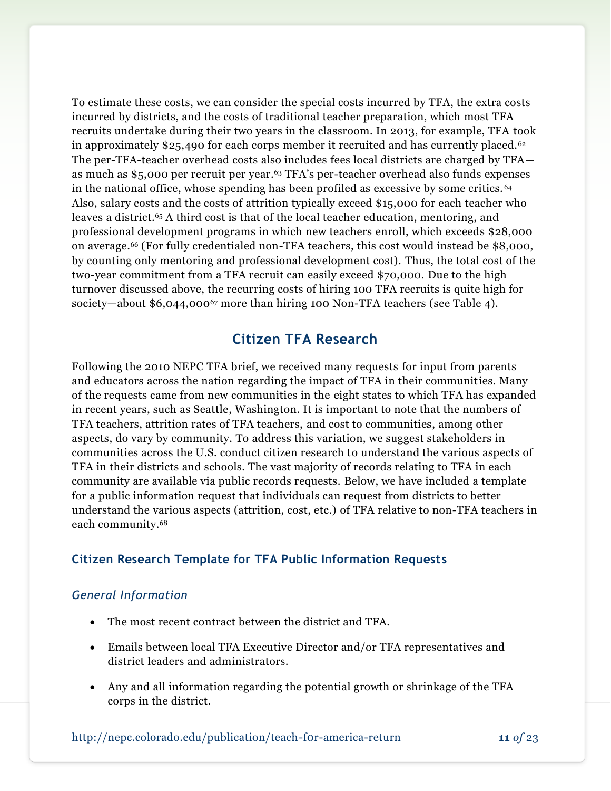To estimate these costs, we can consider the special costs incurred by TFA, the extra costs incurred by districts, and the costs of traditional teacher preparation, which most TFA recruits undertake during their two years in the classroom. In 2013, for example, TFA took in approximately \$25,490 for each corps member it recruited and has currently placed.<sup>62</sup> The per-TFA-teacher overhead costs also includes fees local districts are charged by TFA as much as \$5,000 per recruit per year.<sup>63</sup> TFA's per-teacher overhead also funds expenses in the national office, whose spending has been profiled as excessive by some critics. <sup>64</sup> Also, salary costs and the costs of attrition typically exceed \$15,000 for each teacher who leaves a district. <sup>65</sup> A third cost is that of the local teacher education, mentoring, and professional development programs in which new teachers enroll, which exceeds \$28,000 on average. <sup>66</sup> (For fully credentialed non-TFA teachers, this cost would instead be \$8,000, by counting only mentoring and professional development cost). Thus, the total cost of the two-year commitment from a TFA recruit can easily exceed \$70,000. Due to the high turnover discussed above, the recurring costs of hiring 100 TFA recruits is quite high for society—about \$6,044,000<sup>67</sup> more than hiring 100 Non-TFA teachers (see Table 4).

# **Citizen TFA Research**

Following the 2010 NEPC TFA brief, we received many requests for input from parents and educators across the nation regarding the impact of TFA in their communities. Many of the requests came from new communities in the eight states to which TFA has expanded in recent years, such as Seattle, Washington. It is important to note that the numbers of TFA teachers, attrition rates of TFA teachers, and cost to communities, among other aspects, do vary by community. To address this variation, we suggest stakeholders in communities across the U.S. conduct citizen research to understand the various aspects of TFA in their districts and schools. The vast majority of records relating to TFA in each community are available via public records requests. Below, we have included a template for a public information request that individuals can request from districts to better understand the various aspects (attrition, cost, etc.) of TFA relative to non-TFA teachers in each community. 68

### **Citizen Research Template for TFA Public Information Requests**

#### *General Information*

- The most recent contract between the district and TFA.
- Emails between local TFA Executive Director and/or TFA representatives and district leaders and administrators.
- Any and all information regarding the potential growth or shrinkage of the TFA corps in the district.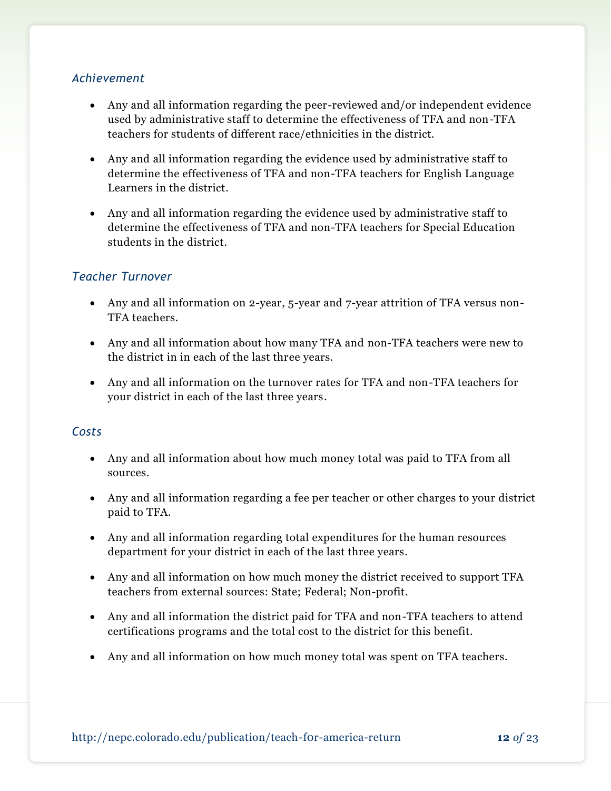#### *Achievement*

- Any and all information regarding the peer-reviewed and/or independent evidence used by administrative staff to determine the effectiveness of TFA and non-TFA teachers for students of different race/ethnicities in the district.
- Any and all information regarding the evidence used by administrative staff to determine the effectiveness of TFA and non-TFA teachers for English Language Learners in the district.
- Any and all information regarding the evidence used by administrative staff to determine the effectiveness of TFA and non-TFA teachers for Special Education students in the district.

### *Teacher Turnover*

- Any and all information on 2-year, 5-year and 7-year attrition of TFA versus non-TFA teachers.
- Any and all information about how many TFA and non-TFA teachers were new to the district in in each of the last three years.
- Any and all information on the turnover rates for TFA and non-TFA teachers for your district in each of the last three years.

### *Costs*

- Any and all information about how much money total was paid to TFA from all sources.
- Any and all information regarding a fee per teacher or other charges to your district paid to TFA.
- Any and all information regarding total expenditures for the human resources department for your district in each of the last three years.
- Any and all information on how much money the district received to support TFA teachers from external sources: State; Federal; Non-profit.
- Any and all information the district paid for TFA and non-TFA teachers to attend certifications programs and the total cost to the district for this benefit.
- Any and all information on how much money total was spent on TFA teachers.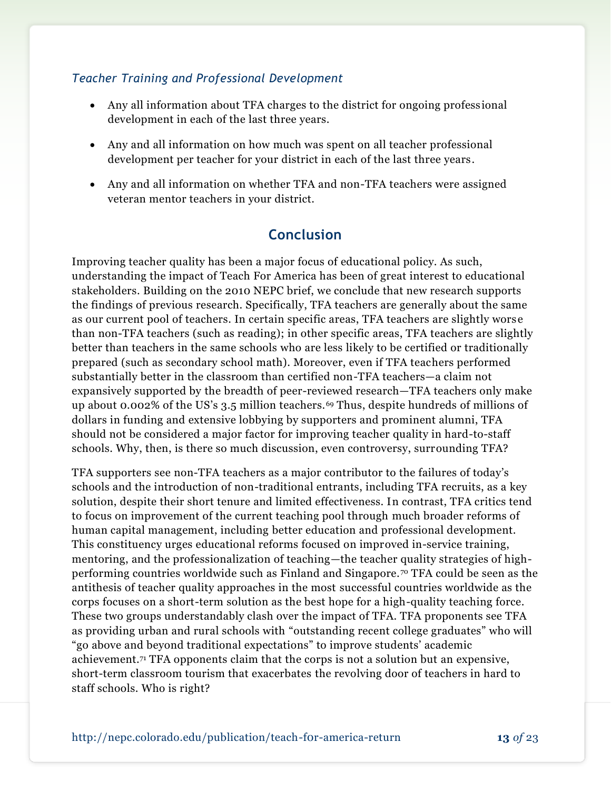### *Teacher Training and Professional Development*

- Any all information about TFA charges to the district for ongoing profess ional development in each of the last three years.
- Any and all information on how much was spent on all teacher professional development per teacher for your district in each of the last three years.
- Any and all information on whether TFA and non-TFA teachers were assigned veteran mentor teachers in your district.

# **Conclusion**

Improving teacher quality has been a major focus of educational policy. As such, understanding the impact of Teach For America has been of great interest to educational stakeholders. Building on the 2010 NEPC brief, we conclude that new research supports the findings of previous research. Specifically, TFA teachers are generally about the same as our current pool of teachers. In certain specific areas, TFA teachers are slightly wors e than non-TFA teachers (such as reading); in other specific areas, TFA teachers are slightly better than teachers in the same schools who are less likely to be certified or traditionally prepared (such as secondary school math). Moreover, even if TFA teachers performed substantially better in the classroom than certified non-TFA teachers—a claim not expansively supported by the breadth of peer-reviewed research—TFA teachers only make up about 0.002% of the US's 3.5 million teachers.<sup>69</sup> Thus, despite hundreds of millions of dollars in funding and extensive lobbying by supporters and prominent alumni, TFA should not be considered a major factor for improving teacher quality in hard-to-staff schools. Why, then, is there so much discussion, even controversy, surrounding TFA?

TFA supporters see non-TFA teachers as a major contributor to the failures of today's schools and the introduction of non-traditional entrants, including TFA recruits, as a key solution, despite their short tenure and limited effectiveness. In contrast, TFA critics tend to focus on improvement of the current teaching pool through much broader reforms of human capital management, including better education and professional development. This constituency urges educational reforms focused on improved in-service training, mentoring, and the professionalization of teaching—the teacher quality strategies of highperforming countries worldwide such as Finland and Singapore. <sup>70</sup> TFA could be seen as the antithesis of teacher quality approaches in the most successful countries worldwide as the corps focuses on a short-term solution as the best hope for a high-quality teaching force. These two groups understandably clash over the impact of TFA. TFA proponents see TFA as providing urban and rural schools with "outstanding recent college graduates" who will "go above and beyond traditional expectations" to improve students' academic achievement.<sup>71</sup> TFA opponents claim that the corps is not a solution but an expensive, short-term classroom tourism that exacerbates the revolving door of teachers in hard to staff schools. Who is right?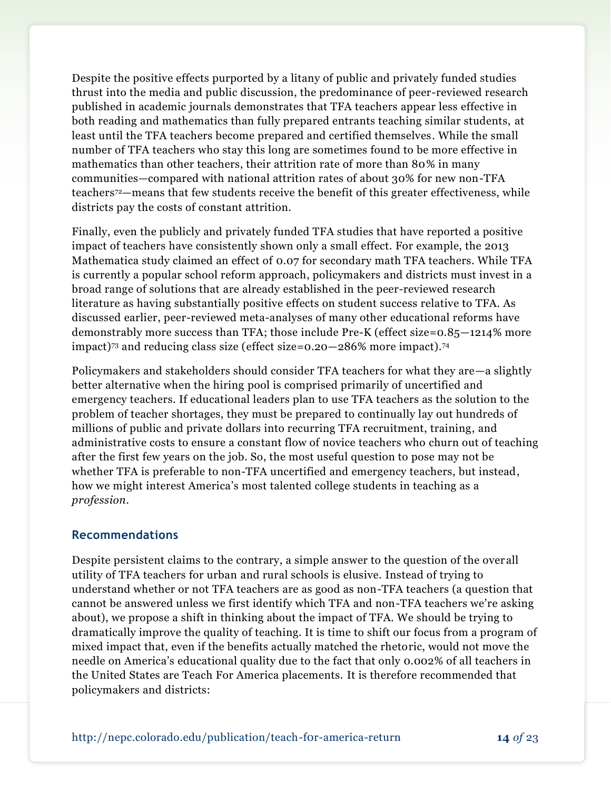Despite the positive effects purported by a litany of public and privately funded studies thrust into the media and public discussion, the predominance of peer-reviewed research published in academic journals demonstrates that TFA teachers appear less effective in both reading and mathematics than fully prepared entrants teaching similar students, at least until the TFA teachers become prepared and certified themselves. While the small number of TFA teachers who stay this long are sometimes found to be more effective in mathematics than other teachers, their attrition rate of more than 80% in many communities—compared with national attrition rates of about 30% for new non-TFA teachers72—means that few students receive the benefit of this greater effectiveness, while districts pay the costs of constant attrition.

Finally, even the publicly and privately funded TFA studies that have reported a positive impact of teachers have consistently shown only a small effect. For example, the 2013 Mathematica study claimed an effect of 0.07 for secondary math TFA teachers. While TFA is currently a popular school reform approach, policymakers and districts must invest in a broad range of solutions that are already established in the peer-reviewed research literature as having substantially positive effects on student success relative to TFA. As discussed earlier, peer-reviewed meta-analyses of many other educational reforms have demonstrably more success than TFA; those include Pre-K (effect size=0.85—1214% more impact)<sup>73</sup> and reducing class size (effect size=0.20—286% more impact).<sup>74</sup>

Policymakers and stakeholders should consider TFA teachers for what they are—a slightly better alternative when the hiring pool is comprised primarily of uncertified and emergency teachers. If educational leaders plan to use TFA teachers as the solution to the problem of teacher shortages, they must be prepared to continually lay out hundreds of millions of public and private dollars into recurring TFA recruitment, training, and administrative costs to ensure a constant flow of novice teachers who churn out of teaching after the first few years on the job. So, the most useful question to pose may not be whether TFA is preferable to non-TFA uncertified and emergency teachers, but instead, how we might interest America's most talented college students in teaching as a *profession*.

### **Recommendations**

Despite persistent claims to the contrary, a simple answer to the question of the overall utility of TFA teachers for urban and rural schools is elusive. Instead of trying to understand whether or not TFA teachers are as good as non-TFA teachers (a question that cannot be answered unless we first identify which TFA and non-TFA teachers we're asking about), we propose a shift in thinking about the impact of TFA. We should be trying to dramatically improve the quality of teaching. It is time to shift our focus from a program of mixed impact that, even if the benefits actually matched the rhetoric, would not move the needle on America's educational quality due to the fact that only 0.002% of all teachers in the United States are Teach For America placements. It is therefore recommended that policymakers and districts: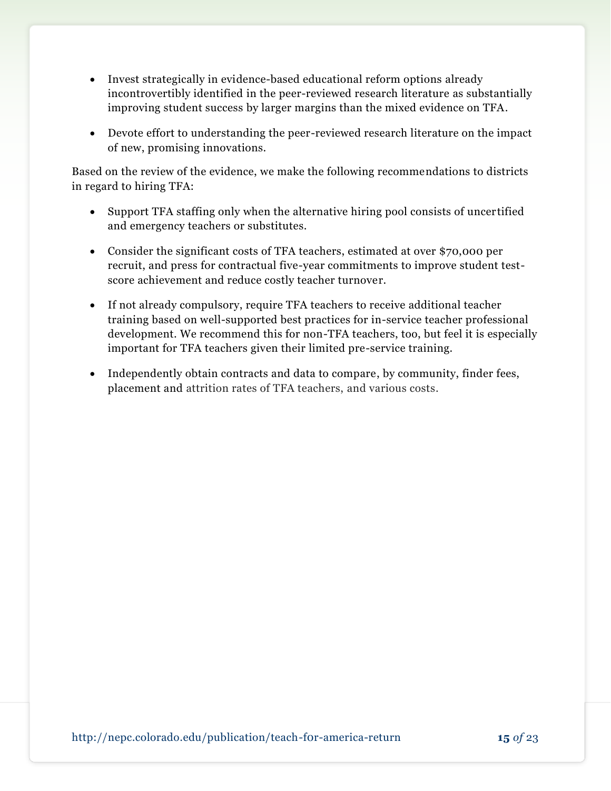- Invest strategically in evidence-based educational reform options already incontrovertibly identified in the peer-reviewed research literature as substantially improving student success by larger margins than the mixed evidence on TFA.
- Devote effort to understanding the peer-reviewed research literature on the impact of new, promising innovations.

Based on the review of the evidence, we make the following recommendations to districts in regard to hiring TFA:

- Support TFA staffing only when the alternative hiring pool consists of uncertified and emergency teachers or substitutes.
- Consider the significant costs of TFA teachers, estimated at over \$70,000 per recruit, and press for contractual five-year commitments to improve student testscore achievement and reduce costly teacher turnover.
- If not already compulsory, require TFA teachers to receive additional teacher training based on well-supported best practices for in-service teacher professional development. We recommend this for non-TFA teachers, too, but feel it is especially important for TFA teachers given their limited pre-service training.
- Independently obtain contracts and data to compare, by community, finder fees, placement and attrition rates of TFA teachers, and various costs.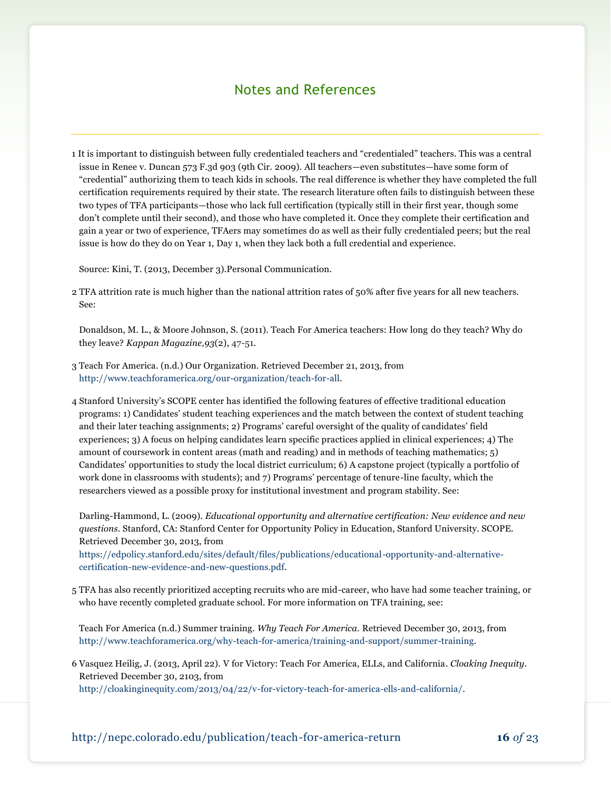# Notes and References

1 It is important to distinguish between fully credentialed teachers and "credentialed" teachers. This was a central issue in Renee v. Duncan 573 F.3d 903 (9th Cir. 2009). All teachers—even substitutes—have some form of "credential" authorizing them to teach kids in schools. The real difference is whether they have completed the full certification requirements required by their state. The research literature often fails to distinguish between these two types of TFA participants—those who lack full certification (typically still in their first year, though some don't complete until their second), and those who have completed it. Once they complete their certification and gain a year or two of experience, TFAers may sometimes do as well as their fully credentialed peers; but the real issue is how do they do on Year 1, Day 1, when they lack both a full credential and experience.

Source: Kini, T. (2013, December 3).Personal Communication.

2 TFA attrition rate is much higher than the national attrition rates of 50% after five years for all new teachers. See:

Donaldson, M. L., & Moore Johnson, S. (2011). Teach For America teachers: How long do they teach? Why do they leave? *Kappan Magazine,93*(2), 47-51.

- 3 Teach For America. (n.d.) Our Organization. Retrieved December 21, 2013, from [http://www.teachforamerica.org/our-organization/teach-for-all.](http://www.teachforamerica.org/our-organization/teach-for-all)
- 4 Stanford University's SCOPE center has identified the following features of effective traditional education programs: 1) Candidates' student teaching experiences and the match between the context of student teaching and their later teaching assignments; 2) Programs' careful oversight of the quality of candidates' field experiences; 3) A focus on helping candidates learn specific practices applied in clinical experiences; 4) The amount of coursework in content areas (math and reading) and in methods of teaching mathematics; 5) Candidates' opportunities to study the local district curriculum; 6) A capstone project (typically a portfolio of work done in classrooms with students); and 7) Programs' percentage of tenure-line faculty, which the researchers viewed as a possible proxy for institutional investment and program stability. See:

Darling-Hammond, L. (2009). *Educational opportunity and alternative certification: New evidence and new questions*. Stanford, CA: Stanford Center for Opportunity Policy in Education, Stanford University. SCOPE. Retrieved December 30, 2013, from

[https://edpolicy.stanford.edu/sites/default/files/publications/educational-opportunity-and-alternative](https://edpolicy.stanford.edu/sites/default/files/publications/educational-opportunity-and-alternative-certification-new-evidence-and-new-questions.pdf)[certification-new-evidence-and-new-questions.pdf.](https://edpolicy.stanford.edu/sites/default/files/publications/educational-opportunity-and-alternative-certification-new-evidence-and-new-questions.pdf)

5 TFA has also recently prioritized accepting recruits who are mid-career, who have had some teacher training, or who have recently completed graduate school. For more information on TFA training, see:

Teach For America (n.d.) Summer training. *Why Teach For America.* Retrieved December 30, 2013, from [http://www.teachforamerica.org/why-teach-for-america/training-and-support/summer-training.](http://www.teachforamerica.org/why-teach-for-america/training-and-support/summer-training)

6 Vasquez Heilig, J. (2013, April 22). V for Victory: Teach For America, ELLs, and California. *Cloaking Inequity*. Retrieved December 30, 2103, from

[http://cloakinginequity.com/2013/04/22/v-for-victory-teach-for-america-ells-and-california/.](http://cloakinginequity.com/2013/04/22/v-for-victory-teach-for-america-ells-and-california/)

http://nepc.colorado.edu/publication/teach-f0r-america-return **16** *of* 23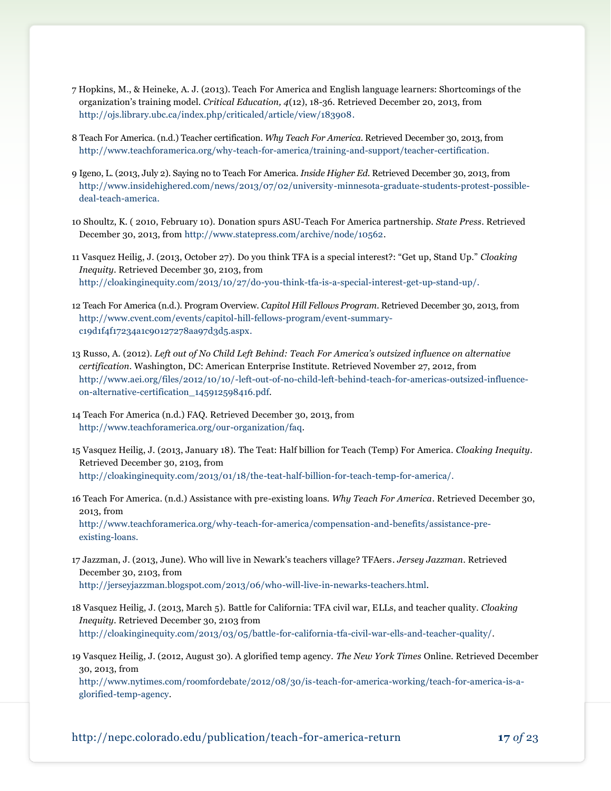- 7 Hopkins, M., & Heineke, A. J. (2013). Teach For America and English language learners: Shortcomings of the organization's training model. *Critical Education, 4*(12), 18-36. Retrieved December 20, 2013, from [http://ojs.library.ubc.ca/index.php/criticaled/article/view/183908.](http://ojs.library.ubc.ca/index.php/criticaled/article/view/183908)
- 8 Teach For America. (n.d.) Teacher certification. *Why Teach For America*. Retrieved December 30, 2013, from [http://www.teachforamerica.org/why-teach-for-america/training-and-support/teacher-certification.](http://www.teachforamerica.org/why-teach-for-america/training-and-support/teacher-certification)
- 9 Igeno, L. (2013, July 2). Saying no to Teach For America. *Inside Higher Ed*. Retrieved December 30, 2013, from [http://www.insidehighered.com/news/2013/07/02/university-minnesota-graduate-students-protest-possible](http://www.insidehighered.com/news/2013/07/02/university-minnesota-graduate-students-protest-possible-deal-teach-america)[deal-teach-america.](http://www.insidehighered.com/news/2013/07/02/university-minnesota-graduate-students-protest-possible-deal-teach-america)
- 10 Shoultz, K. ( 2010, February 10). Donation spurs ASU-Teach For America partnership. *State Press*. Retrieved December 30, 2013, from [http://www.statepress.com/archive/node/10562.](http://www.statepress.com/archive/node/10562)

11 Vasquez Heilig, J. (2013, October 27). Do you think TFA is a special interest?: "Get up, Stand Up." *Cloaking Inequity*. Retrieved December 30, 2103, from [http://cloakinginequity.com/2013/10/27/do-you-think-tfa-is-a-special-interest-get-up-stand-up/.](http://cloakinginequity.com/2013/10/27/do-you-think-tfa-is-a-special-interest-get-up-stand-up/)

- 12 Teach For America (n.d.). Program Overview. *Capitol Hill Fellows Program*. Retrieved December 30, 2013, from [http://www.cvent.com/events/capitol-hill-fellows-program/event-summary](http://www.cvent.com/events/capitol-hill-fellows-program/event-summary-c19d1f4f17234a1c90127278aa97d3d5.aspx)[c19d1f4f17234a1c90127278aa97d3d5.aspx.](http://www.cvent.com/events/capitol-hill-fellows-program/event-summary-c19d1f4f17234a1c90127278aa97d3d5.aspx)
- 13 Russo, A. (2012). *Left out of No Child Left Behind: Teach For America's outsized influence on alternative certification*. Washington, DC: American Enterprise Institute. Retrieved November 27, 2012, from [http://www.aei.org/files/2012/10/10/-left-out-of-no-child-left-behind-teach-for-americas-outsized-influence](http://www.aei.org/files/2012/10/10/-left-out-of-no-child-left-behind-teach-for-americas-outsized-influence-on-alternative-certification_145912598416.pdf)[on-alternative-certification\\_145912598416.pdf.](http://www.aei.org/files/2012/10/10/-left-out-of-no-child-left-behind-teach-for-americas-outsized-influence-on-alternative-certification_145912598416.pdf)
- 14 Teach For America (n.d.) FAQ. Retrieved December 30, 2013, from [http://www.teachforamerica.org/our-organization/faq.](http://www.teachforamerica.org/our-organization/faq)
- 15 Vasquez Heilig, J. (2013, January 18). The Teat: Half billion for Teach (Temp) For America. *Cloaking Inequity*. Retrieved December 30, 2103, from [http://cloakinginequity.com/2013/01/18/the-teat-half-billion-for-teach-temp-for-america/.](http://cloakinginequity.com/2013/01/18/the-teat-half-billion-for-teach-temp-for-america/)
- 16 Teach For America. (n.d.) Assistance with pre-existing loans. *Why Teach For America*. Retrieved December 30, 2013, from [http://www.teachforamerica.org/why-teach-for-america/compensation-and-benefits/assistance-pre-](http://www.teachforamerica.org/why-teach-for-america/compensation-and-benefits/assistance-pre-existing-loans)

[existing-loans.](http://www.teachforamerica.org/why-teach-for-america/compensation-and-benefits/assistance-pre-existing-loans)

- 17 Jazzman, J. (2013, June). Who will live in Newark's teachers village? TFAers. *Jersey Jazzman*. Retrieved December 30, 2103, from [http://jerseyjazzman.blogspot.com/2013/06/who-will-live-in-newarks-teachers.html.](http://jerseyjazzman.blogspot.com/2013/06/who-will-live-in-newarks-teachers.html)
- 18 Vasquez Heilig, J. (2013, March 5). Battle for California: TFA civil war, ELLs, and teacher quality. *Cloaking Inequity*. Retrieved December 30, 2103 from [http://cloakinginequity.com/2013/03/05/battle-for-california-tfa-civil-war-ells-and-teacher-quality/.](http://cloakinginequity.com/2013/03/05/battle-for-california-tfa-civil-war-ells-and-teacher-quality/)
- 19 Vasquez Heilig, J. (2012, August 30). A glorified temp agency. *The New York Times* Online. Retrieved December 30, 2013, from

[http://www.nytimes.com/roomfordebate/2012/08/30/is-teach-for-america-working/teach-for-america-is-a](http://www.nytimes.com/roomfordebate/2012/08/30/is-teach-for-america-working/teach-for-america-is-a-glorified-temp-agency)[glorified-temp-agency.](http://www.nytimes.com/roomfordebate/2012/08/30/is-teach-for-america-working/teach-for-america-is-a-glorified-temp-agency)

http://nepc.colorado.edu/publication/teach-f0r-america-return **17** *of* 23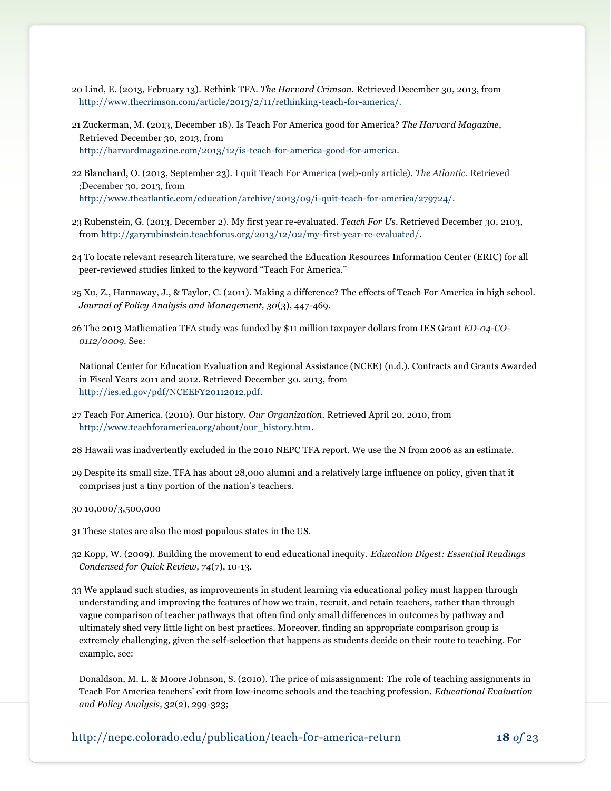- 20 Lind, E. (2013, February 13). Rethink TFA. *The Harvard Crimson.* Retrieved December 30, 2013, from [http://www.thecrimson.com/article/2013/2/11/rethinking-teach-for-america/.](http://www.thecrimson.com/article/2013/2/11/rethinking-teach-for-america/)
- 21 Zuckerman, M. (2013, December 18). Is Teach For America good for America? *The Harvard Magazine*, Retrieved December 30, 2013, from [http://harvardmagazine.com/2013/12/is-teach-for-america-good-for-america.](http://harvardmagazine.com/2013/12/is-teach-for-america-good-for-america)
- 22 Blanchard, O. (2013, September 23). I quit Teach For America (web-only article). *The Atlantic*. Retrieved ;December 30, 2013, from [http://www.theatlantic.com/education/archive/2013/09/i-quit-teach-for-america/279724/.](http://www.theatlantic.com/education/archive/2013/09/i-quit-teach-for-america/279724/)
- 23 Rubenstein, G. (2013, December 2). My first year re-evaluated. *Teach For Us*. Retrieved December 30, 2103, from [http://garyrubinstein.teachforus.org/2013/12/02/my-first-year-re-evaluated/.](http://garyrubinstein.teachforus.org/2013/12/02/my-first-year-re-evaluated/)
- 24 To locate relevant research literature, we searched the Education Resources Information Center (ERIC) for all peer-reviewed studies linked to the keyword "Teach For America."
- 25 Xu, Z., Hannaway, J., & Taylor, C. (2011). Making a difference? The effects of Teach For America in high school. *Journal of Policy Analysis and Management, 30*(3), 447-469.
- 26 The 2013 Mathematica TFA study was funded by \$11 million taxpayer dollars from IES Grant *ED-04-CO-0112/0009.* See*:*

National Center for Education Evaluation and Regional Assistance (NCEE) (n.d.). Contracts and Grants Awarded in Fiscal Years 2011 and 2012. Retrieved December 30. 2013, from <http://ies.ed.gov/pdf/NCEEFY20112012.pdf>*.*

- 27 Teach For America. (2010). Our history. *Our Organization.* Retrieved April 20, 2010, from [http://www.teachforamerica.org/about/our\\_history.htm.](http://www.teachforamerica.org/about/our_history.htm)
- 28 Hawaii was inadvertently excluded in the 2010 NEPC TFA report. We use the N from 2006 as an estimate.
- 29 Despite its small size, TFA has about 28,000 alumni and a relatively large influence on policy, given that it comprises just a tiny portion of the nation's teachers.
- 30 10,000/3,500,000
- 31 These states are also the most populous states in the US.
- 32 Kopp, W. (2009). Building the movement to end educational inequity. *Education Digest: Essential Readings Condensed for Quick Review, 74*(7), 10-13.
- 33 We applaud such studies, as improvements in student learning via educational policy must happen through understanding and improving the features of how we train, recruit, and retain teachers, rather than through vague comparison of teacher pathways that often find only small differences in outcomes by pathway and ultimately shed very little light on best practices. Moreover, finding an appropriate comparison group is extremely challenging, given the self-selection that happens as students decide on their route to teaching. For example, see:

Donaldson, M. L. & Moore Johnson, S. (2010). The price of misassignment: The role of teaching assignments in Teach For America teachers' exit from low-income schools and the teaching profession. *Educational Evaluation and Policy Analysis, 32*(2), 299-323;

http://nepc.colorado.edu/publication/teach-f0r-america-return **18** *of* 23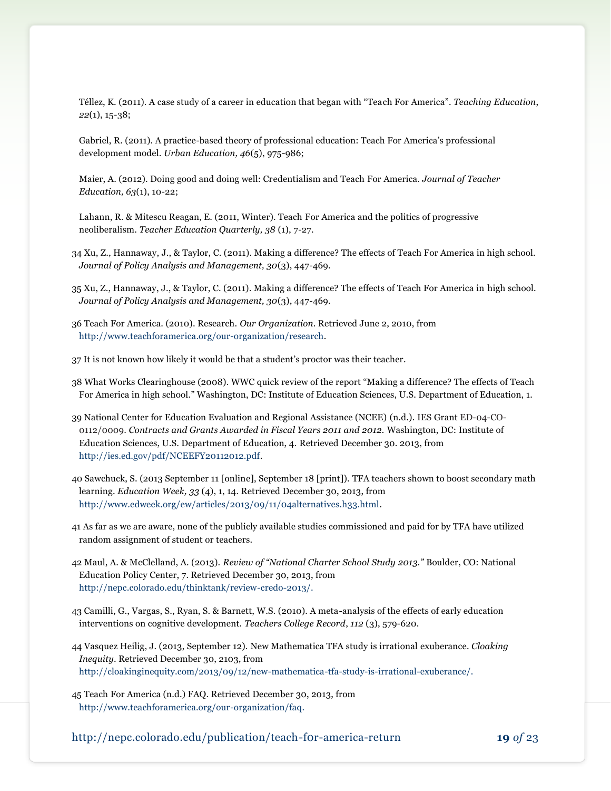Téllez, K. (2011). A case study of a career in education that began with "Teach For America". *Teaching Education*, *22*(1), 15-38;

Gabriel, R. (2011). A practice-based theory of professional education: Teach For America's professional development model. *Urban Education, 46*(5), 975-986;

Maier, A. (2012). Doing good and doing well: Credentialism and Teach For America. *Journal of Teacher Education, 63*(1), 10-22;

Lahann, R. & Mitescu Reagan, E. (2011, Winter). Teach For America and the politics of progressive neoliberalism. *Teacher Education Quarterly, 38* (1), 7-27.

34 Xu, Z., Hannaway, J., & Taylor, C. (2011). Making a difference? The effects of Teach For America in high school. *Journal of Policy Analysis and Management, 30*(3), 447-469.

35 Xu, Z., Hannaway, J., & Taylor, C. (2011). Making a difference? The effects of Teach For America in high school. *Journal of Policy Analysis and Management, 30*(3), 447-469.

- 36 Teach For America. (2010). Research. *Our Organization.* Retrieved June 2, 2010, from [http://www.teachforamerica.org/our-organization/research.](http://www.teachforamerica.org/our-organization/research)
- 37 It is not known how likely it would be that a student's proctor was their teacher.
- 38 What Works Clearinghouse (2008). WWC quick review of the report "Making a difference? The effects of Teach For America in high school." Washington, DC: Institute of Education Sciences, U.S. Department of Education, 1.
- 39 National Center for Education Evaluation and Regional Assistance (NCEE) (n.d.). IES Grant ED-04-CO-0112/0009. *Contracts and Grants Awarded in Fiscal Years 2011 and 2012.* Washington, DC: Institute of Education Sciences, U.S. Department of Education, 4. Retrieved December 30. 2013, from [http://ies.ed.gov/pdf/NCEEFY20112012.pdf.](http://ies.ed.gov/pdf/NCEEFY20112012.pdf)
- 40 Sawchuck, S. (2013 September 11 [online], September 18 [print]). TFA teachers shown to boost secondary math learning. *Education Week, 33* (4), 1, 14*.* Retrieved December 30, 2013, from [http://www.edweek.org/ew/articles/2013/09/11/04alternatives.h33.html.](http://www.edweek.org/ew/articles/2013/09/11/04alternatives.h33.html)
- 41 As far as we are aware, none of the publicly available studies commissioned and paid for by TFA have utilized random assignment of student or teachers.
- 42 Maul, A. & McClelland, A. (2013). *Review of "National Charter School Study 2013."* Boulder, CO: National Education Policy Center, 7. Retrieved December 30, 2013, from [http://nepc.colorado.edu/thinktank/review-credo-2013/.](http://nepc.colorado.edu/thinktank/review-credo-2013/)
- 43 Camilli, G., Vargas, S., Ryan, S. & Barnett, W.S. (2010). A meta-analysis of the effects of early education interventions on cognitive development. *Teachers College Record*, *112* (3), 579-620.
- 44 Vasquez Heilig, J. (2013, September 12). New Mathematica TFA study is irrational exuberance. *Cloaking Inequity*. Retrieved December 30, 2103, from [http://cloakinginequity.com/2013/09/12/new-mathematica-tfa-study-is-irrational-exuberance/.](http://cloakinginequity.com/2013/09/12/new-mathematica-tfa-study-is-irrational-exuberance/)
- 45 Teach For America (n.d.) FAQ. Retrieved December 30, 2013, from [http://www.teachforamerica.org/our-organization/faq.](http://www.teachforamerica.org/our-organization/faq)

http://nepc.colorado.edu/publication/teach-f0r-america-return **19** *of* 23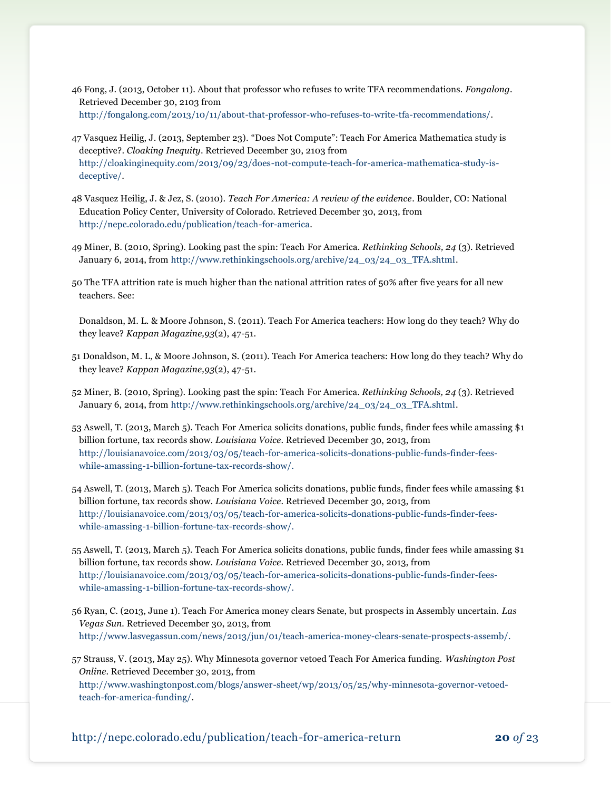- 46 Fong, J. (2013, October 11). About that professor who refuses to write TFA recommendations. *Fongalong*. Retrieved December 30, 2103 from [http://fongalong.com/2013/10/11/about-that-professor-who-refuses-to-write-tfa-recommendations/.](http://fongalong.com/2013/10/11/about-that-professor-who-refuses-to-write-tfa-recommendations/)
- 47 Vasquez Heilig, J. (2013, September 23). "Does Not Compute": Teach For America Mathematica study is deceptive?. *Cloaking Inequity*. Retrieved December 30, 2103 from [http://cloakinginequity.com/2013/09/23/does-not-compute-teach-for-america-mathematica-study-is](http://cloakinginequity.com/2013/09/23/does-not-compute-teach-for-america-mathematica-study-is-deceptive/)[deceptive/.](http://cloakinginequity.com/2013/09/23/does-not-compute-teach-for-america-mathematica-study-is-deceptive/)
- 48 Vasquez Heilig, J. & Jez, S. (2010). *Teach For America: A review of the evidence*. Boulder, CO: National Education Policy Center, University of Colorado. Retrieved December 30, 2013, from [http://nepc.colorado.edu/publication/teach-for-america.](http://nepc.colorado.edu/publication/teach-for-america)
- 49 Miner, B. (2010, Spring). Looking past the spin: Teach For America. *Rethinking Schools, 24* (3). Retrieved January 6, 2014, from [http://www.rethinkingschools.org/archive/24\\_03/24\\_03\\_TFA.shtml.](http://www.rethinkingschools.org/archive/24_03/24_03_TFA.shtml)
- 50 The TFA attrition rate is much higher than the national attrition rates of 50% after five years for all new teachers. See:

Donaldson, M. L. & Moore Johnson, S. (2011). Teach For America teachers: How long do they teach? Why do they leave? *Kappan Magazine,93*(2), 47-51.

- 51 Donaldson, M. L, & Moore Johnson, S. (2011). Teach For America teachers: How long do they teach? Why do they leave? *Kappan Magazine,93*(2), 47-51.
- 52 Miner, B. (2010, Spring). Looking past the spin: Teach For America. *Rethinking Schools, 24* (3). Retrieved January 6, 2014, from [http://www.rethinkingschools.org/archive/24\\_03/24\\_03\\_TFA.shtml.](http://www.rethinkingschools.org/archive/24_03/24_03_TFA.shtml)
- 53 Aswell, T. (2013, March 5). Teach For America solicits donations, public funds, finder fees while amassing \$1 billion fortune, tax records show. *Louisiana Voice*. Retrieved December 30, 2013, from [http://louisianavoice.com/2013/03/05/teach-for-america-solicits-donations-public-funds-finder-fees](http://louisianavoice.com/2013/03/05/teach-for-america-solicits-donations-public-funds-finder-fees-while-amassing-1-billion-fortune-tax-records-show/)[while-amassing-1-billion-fortune-tax-records-show/.](http://louisianavoice.com/2013/03/05/teach-for-america-solicits-donations-public-funds-finder-fees-while-amassing-1-billion-fortune-tax-records-show/)
- 54 Aswell, T. (2013, March 5). Teach For America solicits donations, public funds, finder fees while amassing \$1 billion fortune, tax records show. *Louisiana Voice*. Retrieved December 30, 2013, from [http://louisianavoice.com/2013/03/05/teach-for-america-solicits-donations-public-funds-finder-fees](http://louisianavoice.com/2013/03/05/teach-for-america-solicits-donations-public-funds-finder-fees-while-amassing-1-billion-fortune-tax-records-show/)[while-amassing-1-billion-fortune-tax-records-show/.](http://louisianavoice.com/2013/03/05/teach-for-america-solicits-donations-public-funds-finder-fees-while-amassing-1-billion-fortune-tax-records-show/)
- 55 Aswell, T. (2013, March 5). Teach For America solicits donations, public funds, finder fees while amassing \$1 billion fortune, tax records show. *Louisiana Voice*. Retrieved December 30, 2013, from [http://louisianavoice.com/2013/03/05/teach-for-america-solicits-donations-public-funds-finder-fees](http://louisianavoice.com/2013/03/05/teach-for-america-solicits-donations-public-funds-finder-fees-while-amassing-1-billion-fortune-tax-records-show/)[while-amassing-1-billion-fortune-tax-records-show/.](http://louisianavoice.com/2013/03/05/teach-for-america-solicits-donations-public-funds-finder-fees-while-amassing-1-billion-fortune-tax-records-show/)
- 56 Ryan, C. (2013, June 1). Teach For America money clears Senate, but prospects in Assembly uncertain. *Las Vegas Sun.* Retrieved December 30, 2013, from [http://www.lasvegassun.com/news/2013/jun/01/teach-america-money-clears-senate-prospects-assemb/.](http://www.lasvegassun.com/news/2013/jun/01/teach-america-money-clears-senate-prospects-assemb/)
- 57 Strauss, V. (2013, May 25). Why Minnesota governor vetoed Teach For America funding. *Washington Post Online*. Retrieved December 30, 2013, from

[http://www.washingtonpost.com/blogs/answer-sheet/wp/2013/05/25/why-minnesota-governor-vetoed](http://www.washingtonpost.com/blogs/answer-sheet/wp/2013/05/25/why-minnesota-governor-vetoed-teach-for-america-funding/)[teach-for-america-funding/.](http://www.washingtonpost.com/blogs/answer-sheet/wp/2013/05/25/why-minnesota-governor-vetoed-teach-for-america-funding/)

http://nepc.colorado.edu/publication/teach-f0r-america-return **20** *of* 23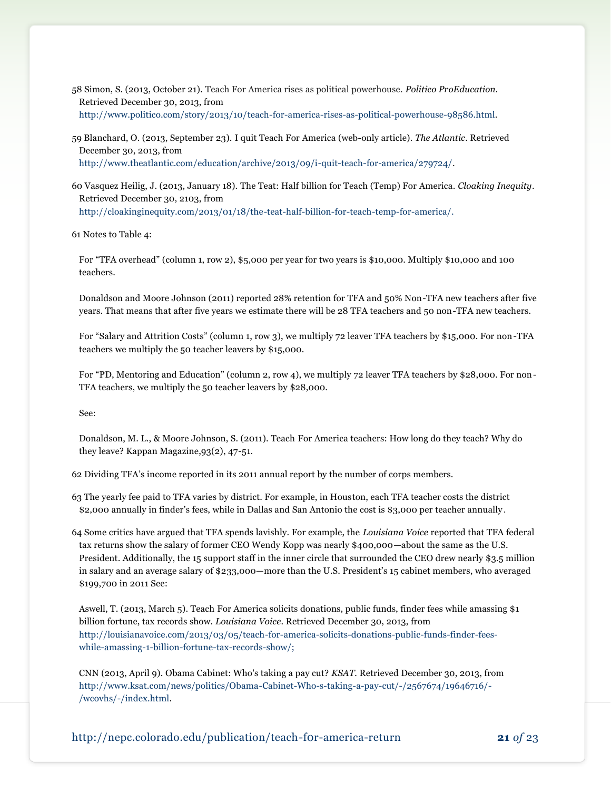58 Simon, S. (2013, October 21). Teach For America rises as political powerhouse. *Politico ProEducation.* Retrieved December 30, 2013, from [http://www.politico.com/story/2013/10/teach-for-america-rises-as-political-powerhouse-98586.html.](http://www.politico.com/story/2013/10/teach-for-america-rises-as-political-powerhouse-98586.html)

59 Blanchard, O. (2013, September 23). I quit Teach For America (web-only article). *The Atlantic*. Retrieved December 30, 2013, from [http://www.theatlantic.com/education/archive/2013/09/i-quit-teach-for-america/279724/.](http://www.theatlantic.com/education/archive/2013/09/i-quit-teach-for-america/279724/)

60 Vasquez Heilig, J. (2013, January 18). The Teat: Half billion for Teach (Temp) For America. *Cloaking Inequity*. Retrieved December 30, 2103, from

[http://cloakinginequity.com/2013/01/18/the-teat-half-billion-for-teach-temp-for-america/.](http://cloakinginequity.com/2013/01/18/the-teat-half-billion-for-teach-temp-for-america/)

61 Notes to Table 4:

For "TFA overhead" (column 1, row 2), \$5,000 per year for two years is \$10,000. Multiply \$10,000 and 100 teachers.

Donaldson and Moore Johnson (2011) reported 28% retention for TFA and 50% Non-TFA new teachers after five years. That means that after five years we estimate there will be 28 TFA teachers and 50 non-TFA new teachers.

For "Salary and Attrition Costs" (column 1, row 3), we multiply 72 leaver TFA teachers by \$15,000. For non-TFA teachers we multiply the 50 teacher leavers by \$15,000.

For "PD, Mentoring and Education" (column 2, row 4), we multiply 72 leaver TFA teachers by \$28,000. For non-TFA teachers, we multiply the 50 teacher leavers by \$28,000.

See:

Donaldson, M. L., & Moore Johnson, S. (2011). Teach For America teachers: How long do they teach? Why do they leave? Kappan Magazine,93(2), 47-51.

62 Dividing TFA's income reported in its 2011 annual report by the number of corps members.

63 The yearly fee paid to TFA varies by district. For example, in Houston, each TFA teacher costs the district \$2,000 annually in finder's fees, while in Dallas and San Antonio the cost is \$3,000 per teacher annually .

64 Some critics have argued that TFA spends lavishly. For example, the *Louisiana Voice* reported that TFA federal tax returns show the salary of former CEO Wendy Kopp was nearly \$400,000—about the same as the U.S. President. Additionally, the 15 support staff in the inner circle that surrounded the CEO drew nearly \$3.5 million in salary and an average salary of \$233,000—more than the U.S. President's 15 cabinet members, who averaged \$199,700 in 2011 See:

Aswell, T. (2013, March 5). Teach For America solicits donations, public funds, finder fees while amassing \$1 billion fortune, tax records show. *Louisiana Voice*. Retrieved December 30, 2013, from [http://louisianavoice.com/2013/03/05/teach-for-america-solicits-donations-public-funds-finder-fees](http://louisianavoice.com/2013/03/05/teach-for-america-solicits-donations-public-funds-finder-fees-while-amassing-1-billion-fortune-tax-records-show/)[while-amassing-1-billion-fortune-tax-records-show/;](http://louisianavoice.com/2013/03/05/teach-for-america-solicits-donations-public-funds-finder-fees-while-amassing-1-billion-fortune-tax-records-show/)

CNN (2013, April 9). Obama Cabinet: Who's taking a pay cut? *KSAT.* Retrieved December 30, 2013, from [http://www.ksat.com/news/politics/Obama-Cabinet-Who-s-taking-a-pay-cut/-/2567674/19646716/-](http://www.ksat.com/news/politics/Obama-Cabinet-Who-s-taking-a-pay-cut/-/2567674/19646716/-/wcovhs/-/index.html) [/wcovhs/-/index.html.](http://www.ksat.com/news/politics/Obama-Cabinet-Who-s-taking-a-pay-cut/-/2567674/19646716/-/wcovhs/-/index.html)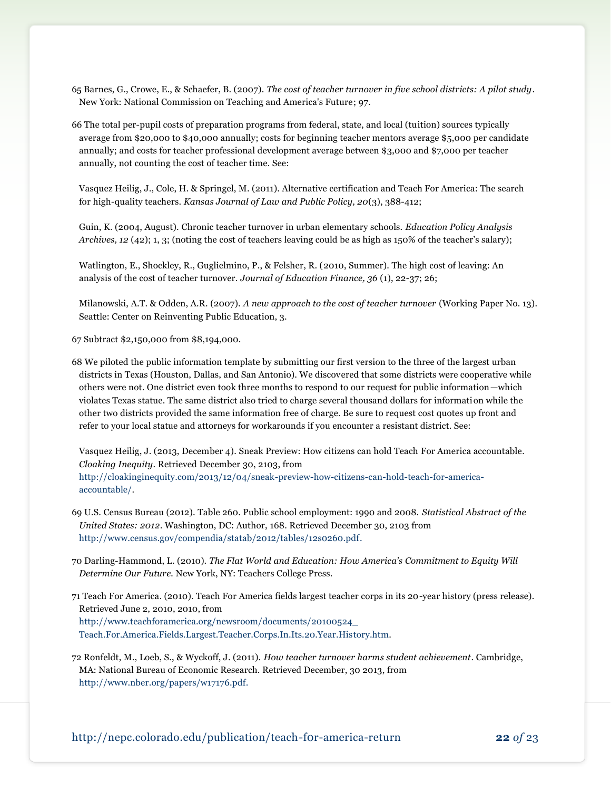65 Barnes, G., Crowe, E., & Schaefer, B. (2007). *The cost of teacher turnover in five school districts: A pilot study*. New York: National Commission on Teaching and America's Future; 97.

66 The total per-pupil costs of preparation programs from federal, state, and local (tuition) sources typically average from \$20,000 to \$40,000 annually; costs for beginning teacher mentors average \$5,000 per candidate annually; and costs for teacher professional development average between \$3,000 and \$7,000 per teacher annually, not counting the cost of teacher time. See:

Vasquez Heilig, J., Cole, H. & Springel, M. (2011). Alternative certification and Teach For America: The search for high-quality teachers. *Kansas Journal of Law and Public Policy, 20*(3), 388-412;

Guin, K. (2004, August). Chronic teacher turnover in urban elementary schools. *Education Policy Analysis Archives, 12* (42); 1, 3; (noting the cost of teachers leaving could be as high as 150% of the teacher's salary);

Watlington, E., Shockley, R., Guglielmino, P., & Felsher, R. (2010, Summer). The high cost of leaving: An analysis of the cost of teacher turnover. *Journal of Education Finance, 36* (1), 22-37; 26;

Milanowski, A.T. & Odden, A.R. (2007). *A new approach to the cost of teacher turnover* (Working Paper No. 13). Seattle: Center on Reinventing Public Education, 3.

67 Subtract \$2,150,000 from \$8,194,000.

68 We piloted the public information template by submitting our first version to the three of the largest urban districts in Texas (Houston, Dallas, and San Antonio). We discovered that some districts were cooperative while others were not. One district even took three months to respond to our request for public information—which violates Texas statue. The same district also tried to charge several thousand dollars for information while the other two districts provided the same information free of charge. Be sure to request cost quotes up front and refer to your local statue and attorneys for workarounds if you encounter a resistant district. See:

Vasquez Heilig, J. (2013, December 4). Sneak Preview: How citizens can hold Teach For America accountable. *Cloaking Inequity*. Retrieved December 30, 2103, from [http://cloakinginequity.com/2013/12/04/sneak-preview-how-citizens-can-hold-teach-for-america](http://cloakinginequity.com/2013/12/04/sneak-preview-how-citizens-can-hold-teach-for-america-accountable/)[accountable/.](http://cloakinginequity.com/2013/12/04/sneak-preview-how-citizens-can-hold-teach-for-america-accountable/)

- 69 U.S. Census Bureau (2012). Table 260. Public school employment: 1990 and 2008. *Statistical Abstract of the United States: 2012*. Washington, DC: Author, 168. Retrieved December 30, 2103 from [http://www.census.gov/compendia/statab/2012/tables/12s0260.pdf.](http://www.census.gov/compendia/statab/2012/tables/12s0260.pdf)
- 70 Darling-Hammond, L. (2010). *The Flat World and Education: How America's Commitment to Equity Will Determine Our Future.* New York, NY: Teachers College Press.
- 71 Teach For America. (2010). Teach For America fields largest teacher corps in its 20-year history (press release). Retrieved June 2, 2010, 2010, from [http://www.teachforamerica.org/newsroom/documents/20100524\\_](http://www.teachforamerica.org/newsroom/documents/20100524_Teach.For.America.Fields.Largest.Teacher.Corps.In.Its.20.Year.History.htm) [Teach.For.America.Fields.Largest.Teacher.Corps.In.Its.20.Year.History.htm.](http://www.teachforamerica.org/newsroom/documents/20100524_Teach.For.America.Fields.Largest.Teacher.Corps.In.Its.20.Year.History.htm)
- 72 Ronfeldt, M., Loeb, S., & Wyckoff, J. (2011). *How teacher turnover harms student achievement*. Cambridge, MA: National Bureau of Economic Research. Retrieved December, 30 2013, from [http://www.nber.org/papers/w17176.pdf.](http://www.nber.org/papers/w17176.pdf)